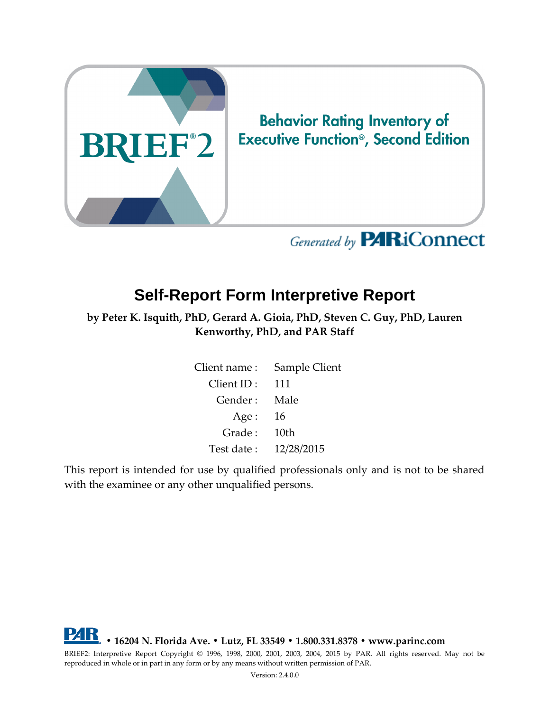

# **Executive Function<sup>®</sup>, Second Edition**

## Generated by **PARiConnect**

## **Self-Report Form Interpretive Report**

**by Peter K. Isquith, PhD, Gerard A. Gioia, PhD, Steven C. Guy, PhD, Lauren Kenworthy, PhD, and PAR Staff**

| Client name : | Sample Client |
|---------------|---------------|
| Client ID:    | 111           |
| Gender:       | Male          |
| Age:          | 16            |
| Grade:        | 10th          |
| Test date:    | 12/28/2015    |

This report is intended for use by qualified professionals only and is not to be shared with the examinee or any other unqualified persons.

**• 16204 N. Florida Ave. • Lutz, FL 33549 • 1.800.331.8378 • www.parinc.com**

BRIEF2: Interpretive Report Copyright © 1996, 1998, 2000, 2001, 2003, 2004, 2015 by PAR. All rights reserved. May not be reproduced in whole or in part in any form or by any means without written permission of PAR.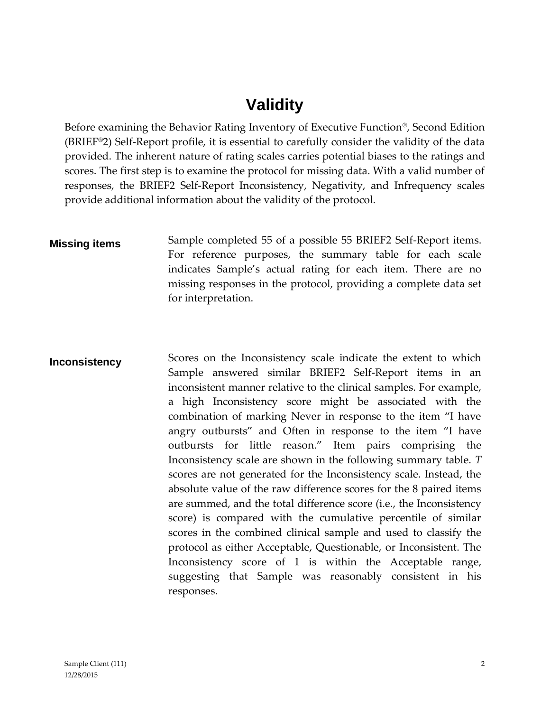## **Validity**

Before examining the Behavior Rating Inventory of Executive Function®, Second Edition (BRIEF®2) Self-Report profile, it is essential to carefully consider the validity of the data provided. The inherent nature of rating scales carries potential biases to the ratings and scores. The first step is to examine the protocol for missing data. With a valid number of responses, the BRIEF2 Self-Report Inconsistency, Negativity, and Infrequency scales provide additional information about the validity of the protocol.

**Missing items** Sample completed 55 of a possible 55 BRIEF2 Self-Report items. For reference purposes, the summary table for each scale indicates Sample's actual rating for each item. There are no missing responses in the protocol, providing a complete data set for interpretation.

**Inconsistency** Scores on the Inconsistency scale indicate the extent to which Sample answered similar BRIEF2 Self-Report items in an inconsistent manner relative to the clinical samples. For example, a high Inconsistency score might be associated with the combination of marking Never in response to the item "I have angry outbursts" and Often in response to the item "I have outbursts for little reason." Item pairs comprising the Inconsistency scale are shown in the following summary table. *T* scores are not generated for the Inconsistency scale. Instead, the absolute value of the raw difference scores for the 8 paired items are summed, and the total difference score (i.e., the Inconsistency score) is compared with the cumulative percentile of similar scores in the combined clinical sample and used to classify the protocol as either Acceptable, Questionable, or Inconsistent. The Inconsistency score of 1 is within the Acceptable range, suggesting that Sample was reasonably consistent in his responses.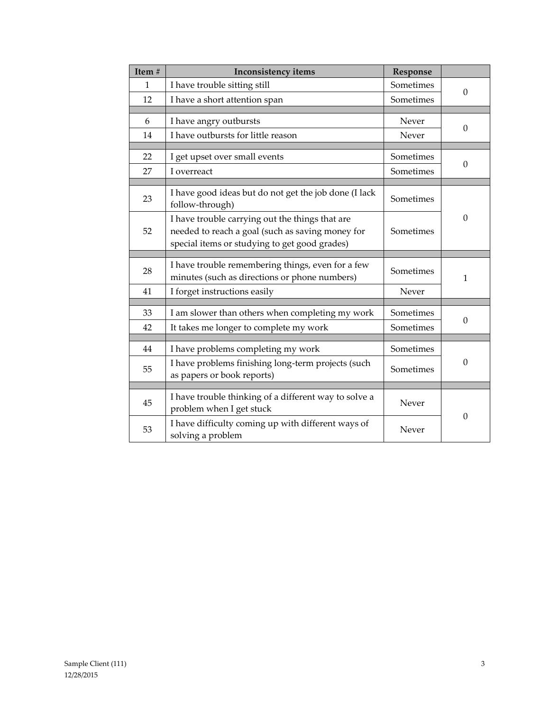| Item#        | <b>Inconsistency items</b>                                                                         | Response  |                  |
|--------------|----------------------------------------------------------------------------------------------------|-----------|------------------|
| $\mathbf{1}$ | I have trouble sitting still                                                                       | Sometimes | $\Omega$         |
| 12           | I have a short attention span                                                                      | Sometimes |                  |
|              |                                                                                                    |           |                  |
| 6            | I have angry outbursts                                                                             | Never     | $\Omega$         |
| 14           | I have outbursts for little reason                                                                 | Never     |                  |
|              |                                                                                                    |           |                  |
| 22           | I get upset over small events                                                                      | Sometimes | $\boldsymbol{0}$ |
| 27           | I overreact                                                                                        | Sometimes |                  |
|              |                                                                                                    |           |                  |
| 23           | I have good ideas but do not get the job done (I lack<br>follow-through)                           | Sometimes |                  |
|              | I have trouble carrying out the things that are                                                    |           | $\boldsymbol{0}$ |
| 52           | needed to reach a goal (such as saving money for                                                   | Sometimes |                  |
|              | special items or studying to get good grades)                                                      |           |                  |
|              |                                                                                                    |           |                  |
| 28           | I have trouble remembering things, even for a few<br>minutes (such as directions or phone numbers) | Sometimes | 1                |
| 41           | I forget instructions easily                                                                       | Never     |                  |
|              |                                                                                                    |           |                  |
| 33           | I am slower than others when completing my work                                                    | Sometimes | $\Omega$         |
| 42           | It takes me longer to complete my work                                                             | Sometimes |                  |
|              |                                                                                                    |           |                  |
| 44           | I have problems completing my work                                                                 | Sometimes |                  |
| 55           | I have problems finishing long-term projects (such                                                 | Sometimes | $\theta$         |
|              | as papers or book reports)                                                                         |           |                  |
|              |                                                                                                    |           |                  |
| 45           | I have trouble thinking of a different way to solve a                                              | Never     |                  |
|              | problem when I get stuck                                                                           |           | $\boldsymbol{0}$ |
| 53           | I have difficulty coming up with different ways of                                                 | Never     |                  |
|              | solving a problem                                                                                  |           |                  |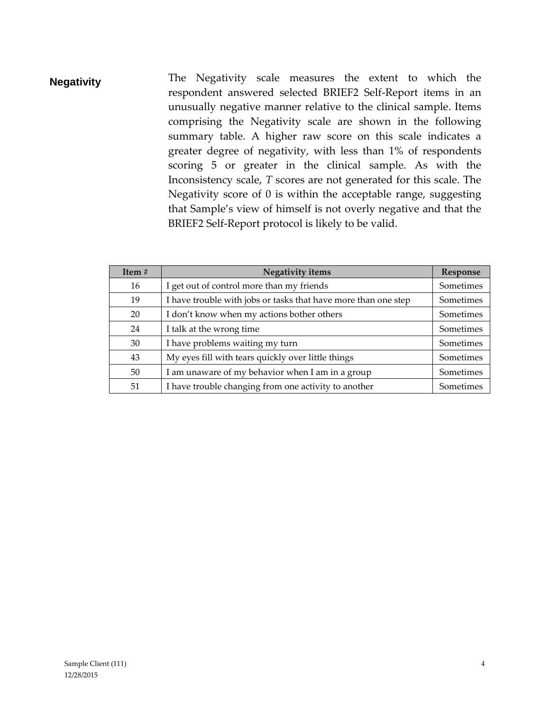**Negativity** The Negativity scale measures the extent to which the respondent answered selected BRIEF2 Self-Report items in an unusually negative manner relative to the clinical sample. Items comprising the Negativity scale are shown in the following summary table. A higher raw score on this scale indicates a greater degree of negativity, with less than 1% of respondents scoring 5 or greater in the clinical sample. As with the Inconsistency scale, *T* scores are not generated for this scale. The Negativity score of 0 is within the acceptable range, suggesting that Sample's view of himself is not overly negative and that the BRIEF2 Self-Report protocol is likely to be valid.

| Item $#$ | Negativity items                                               | Response  |
|----------|----------------------------------------------------------------|-----------|
| 16       | I get out of control more than my friends                      | Sometimes |
| 19       | I have trouble with jobs or tasks that have more than one step | Sometimes |
| 20       | I don't know when my actions bother others                     | Sometimes |
| 24       | I talk at the wrong time                                       | Sometimes |
| 30       | I have problems waiting my turn                                | Sometimes |
| 43       | My eyes fill with tears quickly over little things             | Sometimes |
| 50       | I am unaware of my behavior when I am in a group               | Sometimes |
| 51       | I have trouble changing from one activity to another           | Sometimes |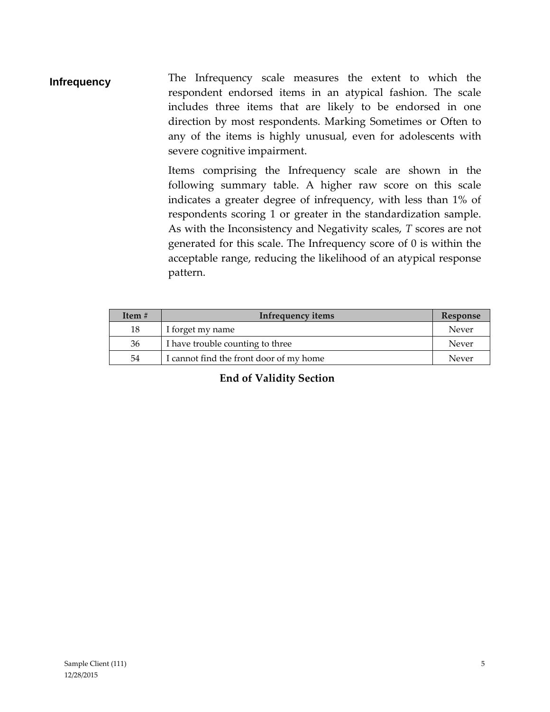**Infrequency** The Infrequency scale measures the extent to which the respondent endorsed items in an atypical fashion. The scale includes three items that are likely to be endorsed in one direction by most respondents. Marking Sometimes or Often to any of the items is highly unusual, even for adolescents with severe cognitive impairment.

> Items comprising the Infrequency scale are shown in the following summary table. A higher raw score on this scale indicates a greater degree of infrequency, with less than 1% of respondents scoring 1 or greater in the standardization sample. As with the Inconsistency and Negativity scales, *T* scores are not generated for this scale. The Infrequency score of 0 is within the acceptable range, reducing the likelihood of an atypical response pattern.

| Item $#$ | Infrequency items                       | Response |
|----------|-----------------------------------------|----------|
| 18       | I forget my name                        | Never    |
| 36       | I have trouble counting to three        | Never    |
| 54       | I cannot find the front door of my home | Never    |

#### **End of Validity Section**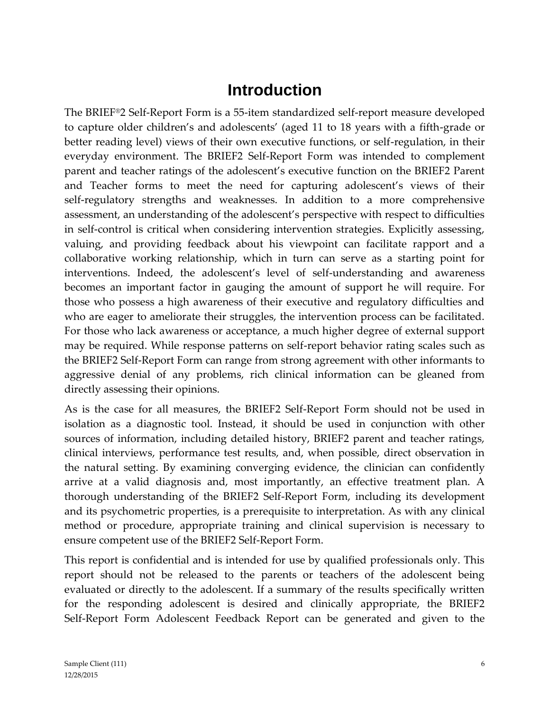## **Introduction**

The BRIEF®2 Self-Report Form is a 55-item standardized self-report measure developed to capture older children's and adolescents' (aged 11 to 18 years with a fifth-grade or better reading level) views of their own executive functions, or self-regulation, in their everyday environment. The BRIEF2 Self-Report Form was intended to complement parent and teacher ratings of the adolescent's executive function on the BRIEF2 Parent and Teacher forms to meet the need for capturing adolescent's views of their self-regulatory strengths and weaknesses. In addition to a more comprehensive assessment, an understanding of the adolescent's perspective with respect to difficulties in self-control is critical when considering intervention strategies. Explicitly assessing, valuing, and providing feedback about his viewpoint can facilitate rapport and a collaborative working relationship, which in turn can serve as a starting point for interventions. Indeed, the adolescent's level of self-understanding and awareness becomes an important factor in gauging the amount of support he will require. For those who possess a high awareness of their executive and regulatory difficulties and who are eager to ameliorate their struggles, the intervention process can be facilitated. For those who lack awareness or acceptance, a much higher degree of external support may be required. While response patterns on self-report behavior rating scales such as the BRIEF2 Self-Report Form can range from strong agreement with other informants to aggressive denial of any problems, rich clinical information can be gleaned from directly assessing their opinions.

As is the case for all measures, the BRIEF2 Self-Report Form should not be used in isolation as a diagnostic tool. Instead, it should be used in conjunction with other sources of information, including detailed history, BRIEF2 parent and teacher ratings, clinical interviews, performance test results, and, when possible, direct observation in the natural setting. By examining converging evidence, the clinician can confidently arrive at a valid diagnosis and, most importantly, an effective treatment plan. A thorough understanding of the BRIEF2 Self-Report Form, including its development and its psychometric properties, is a prerequisite to interpretation. As with any clinical method or procedure, appropriate training and clinical supervision is necessary to ensure competent use of the BRIEF2 Self-Report Form.

This report is confidential and is intended for use by qualified professionals only. This report should not be released to the parents or teachers of the adolescent being evaluated or directly to the adolescent. If a summary of the results specifically written for the responding adolescent is desired and clinically appropriate, the BRIEF2 Self-Report Form Adolescent Feedback Report can be generated and given to the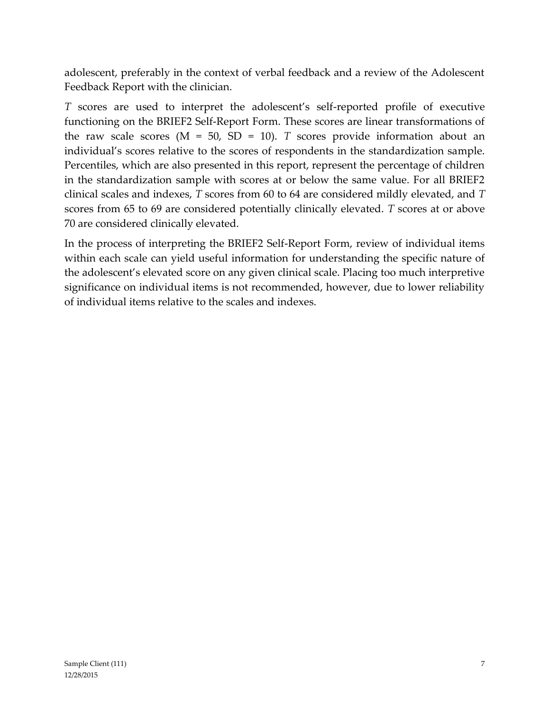adolescent, preferably in the context of verbal feedback and a review of the Adolescent Feedback Report with the clinician.

*T* scores are used to interpret the adolescent's self-reported profile of executive functioning on the BRIEF2 Self-Report Form. These scores are linear transformations of the raw scale scores  $(M = 50, SD = 10)$ . *T* scores provide information about an individual's scores relative to the scores of respondents in the standardization sample. Percentiles, which are also presented in this report, represent the percentage of children in the standardization sample with scores at or below the same value. For all BRIEF2 clinical scales and indexes, *T* scores from 60 to 64 are considered mildly elevated, and *T* scores from 65 to 69 are considered potentially clinically elevated. *T* scores at or above 70 are considered clinically elevated.

In the process of interpreting the BRIEF2 Self-Report Form, review of individual items within each scale can yield useful information for understanding the specific nature of the adolescent's elevated score on any given clinical scale. Placing too much interpretive significance on individual items is not recommended, however, due to lower reliability of individual items relative to the scales and indexes.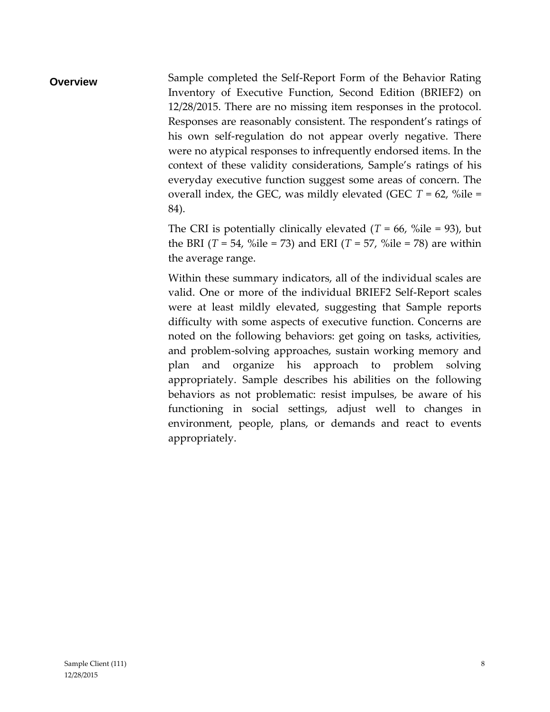**Overview** Sample completed the Self-Report Form of the Behavior Rating Inventory of Executive Function, Second Edition (BRIEF2) on 12/28/2015. There are no missing item responses in the protocol. Responses are reasonably consistent. The respondent's ratings of his own self-regulation do not appear overly negative. There were no atypical responses to infrequently endorsed items. In the context of these validity considerations, Sample's ratings of his everyday executive function suggest some areas of concern. The overall index, the GEC, was mildly elevated (GEC *T* = 62, %ile = 84).

> The CRI is potentially clinically elevated  $(T = 66, \%$ ile = 93), but the BRI  $(T = 54, \%$ ile = 73) and ERI  $(T = 57, \%$ ile = 78) are within the average range.

> Within these summary indicators, all of the individual scales are valid. One or more of the individual BRIEF2 Self-Report scales were at least mildly elevated, suggesting that Sample reports difficulty with some aspects of executive function. Concerns are noted on the following behaviors: get going on tasks, activities, and problem-solving approaches, sustain working memory and plan and organize his approach to problem solving appropriately. Sample describes his abilities on the following behaviors as not problematic: resist impulses, be aware of his functioning in social settings, adjust well to changes in environment, people, plans, or demands and react to events appropriately.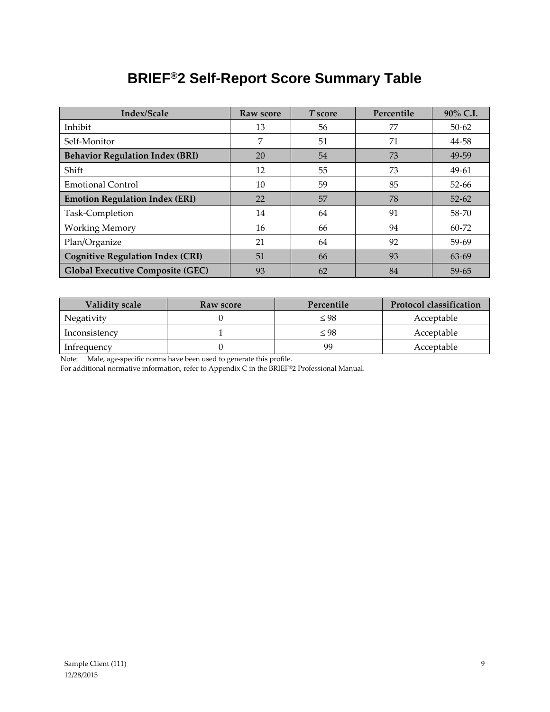## **BRIEF®2 Self-Report Score Summary Table**

| Index/Scale                             | Raw score | T score  | Percentile | 90% C.I.  |
|-----------------------------------------|-----------|----------|------------|-----------|
| Inhibit                                 | 13        | 56       | 77         | $50 - 62$ |
| Self-Monitor                            | 7         | 51       | 71         | 44-58     |
| <b>Behavior Regulation Index (BRI)</b>  | 20        | 54       | 73         | 49-59     |
| Shift                                   | 12        | 55       | 73         | 49-61     |
| <b>Emotional Control</b>                | 10        | 59<br>85 |            | $52 - 66$ |
| <b>Emotion Regulation Index (ERI)</b>   | 22        | 57       | 78         | $52 - 62$ |
| Task-Completion                         | 14        | 64       | 91         | 58-70     |
| <b>Working Memory</b>                   | 16        | 66       | 94         | $60 - 72$ |
| Plan/Organize                           | 21        | 64       | 92         | 59-69     |
| <b>Cognitive Regulation Index (CRI)</b> | 51        | 66       | 93         | 63-69     |
| <b>Global Executive Composite (GEC)</b> | 93        | 62       | 84         | 59-65     |

| <b>Validity scale</b> | Raw score | Percentile | <b>Protocol classification</b> |
|-----------------------|-----------|------------|--------------------------------|
| Negativity            |           | < 98       | Acceptable                     |
| Inconsistency         |           | $<$ 98     | Acceptable                     |
| Infrequency           |           | gg         | Acceptable                     |

Note: Male, age-specific norms have been used to generate this profile.

For additional normative information, refer to Appendix C in the BRIEF®2 Professional Manual.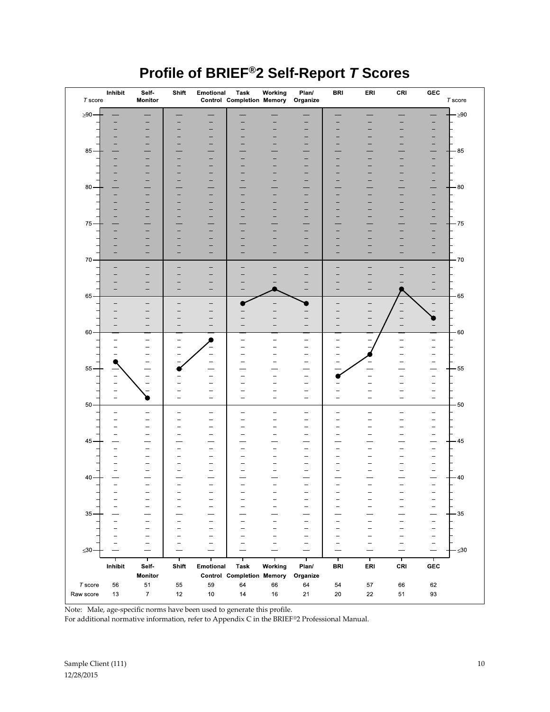| $T$ score   | Inhibit                  | Self-<br>Monitor              | Shift                    | Emotional                                     | Task<br><b>Control Completion Memory</b> | Working                                              | Plan/<br>Organize                                    | <b>BRI</b>               | ERI                      | CRI                                           | ${\tt GEC}$                   | $T$ score |
|-------------|--------------------------|-------------------------------|--------------------------|-----------------------------------------------|------------------------------------------|------------------------------------------------------|------------------------------------------------------|--------------------------|--------------------------|-----------------------------------------------|-------------------------------|-----------|
| $\geq 90$ – |                          |                               |                          |                                               |                                          |                                                      |                                                      |                          |                          |                                               |                               | $-290$    |
|             |                          |                               |                          |                                               |                                          |                                                      | -                                                    |                          |                          |                                               |                               |           |
|             |                          |                               |                          |                                               |                                          |                                                      | ۰                                                    |                          |                          |                                               |                               |           |
|             |                          |                               |                          | -                                             |                                          |                                                      | -                                                    |                          |                          |                                               |                               |           |
| 85          |                          |                               |                          |                                               |                                          |                                                      |                                                      |                          |                          |                                               |                               | 85        |
|             |                          |                               |                          | -                                             |                                          |                                                      | -                                                    |                          |                          |                                               |                               |           |
|             |                          |                               |                          |                                               |                                          |                                                      | -                                                    |                          |                          |                                               |                               |           |
| 80          |                          |                               |                          | -                                             |                                          |                                                      | -                                                    |                          |                          |                                               |                               | $-80$     |
|             |                          |                               |                          | -                                             |                                          |                                                      | $\qquad \qquad -$                                    |                          |                          |                                               |                               |           |
|             |                          |                               |                          | $\overline{\phantom{0}}$                      |                                          |                                                      | $\equiv$                                             |                          |                          |                                               |                               |           |
|             |                          |                               |                          | $\overline{\phantom{0}}$                      |                                          |                                                      | $\overline{\phantom{0}}$                             |                          |                          |                                               |                               |           |
| 75          |                          |                               |                          |                                               |                                          |                                                      | -                                                    |                          |                          |                                               |                               | $-75$     |
|             |                          |                               |                          | -                                             |                                          |                                                      |                                                      |                          |                          |                                               |                               |           |
|             |                          |                               |                          |                                               |                                          |                                                      |                                                      |                          |                          |                                               |                               |           |
| 70          |                          |                               |                          |                                               |                                          |                                                      |                                                      |                          |                          |                                               |                               | -70       |
|             |                          |                               |                          |                                               |                                          |                                                      |                                                      |                          |                          |                                               |                               |           |
|             |                          |                               |                          |                                               |                                          |                                                      |                                                      |                          |                          |                                               |                               |           |
|             |                          | $\overline{\phantom{0}}$      |                          |                                               |                                          |                                                      |                                                      |                          |                          |                                               |                               |           |
| 65          |                          |                               |                          |                                               |                                          |                                                      |                                                      |                          |                          |                                               |                               | -65       |
|             |                          |                               |                          |                                               |                                          |                                                      |                                                      |                          |                          |                                               |                               |           |
|             |                          |                               |                          |                                               |                                          |                                                      |                                                      |                          |                          |                                               |                               |           |
| 60          |                          |                               |                          |                                               |                                          |                                                      |                                                      |                          |                          |                                               |                               | $-60$     |
|             |                          | -                             |                          |                                               | $\overline{a}$                           | $\overline{\phantom{0}}$                             | -                                                    |                          |                          |                                               |                               |           |
|             |                          | $\overline{\phantom{0}}$      | $\overline{\phantom{m}}$ | $\overline{\phantom{0}}$                      |                                          |                                                      | -<br>$\overline{\phantom{0}}$                        |                          |                          |                                               |                               |           |
|             |                          | -                             |                          |                                               |                                          |                                                      | $\qquad \qquad -$                                    |                          |                          |                                               |                               |           |
| 55          |                          | Ē,                            |                          | -                                             |                                          |                                                      | $\qquad \qquad -$                                    |                          |                          |                                               | -                             | $-55$     |
|             |                          | $\overline{\phantom{0}}$      |                          | $\overline{a}$                                |                                          |                                                      | $\qquad \qquad -$                                    |                          |                          |                                               |                               |           |
|             |                          |                               |                          |                                               |                                          |                                                      |                                                      |                          |                          |                                               |                               |           |
| 50          |                          |                               |                          | $\qquad \qquad -$                             |                                          |                                                      | $\overline{\phantom{0}}$                             |                          |                          |                                               |                               | 50        |
|             | $\overline{\phantom{0}}$ | $\overline{\phantom{a}}$      | $\qquad \qquad \qquad$   | $\qquad \qquad -$                             | $\overline{\phantom{0}}$                 | $\overline{\phantom{0}}$                             | -                                                    | $\overline{\phantom{0}}$ | $\overline{\phantom{0}}$ | $\equiv$                                      | $\overline{\phantom{0}}$      |           |
|             |                          | -                             | -                        | $\qquad \qquad -$                             |                                          |                                                      | $\overline{\phantom{0}}$<br>$\overline{\phantom{0}}$ |                          |                          | -                                             |                               |           |
|             |                          |                               |                          | $\overline{a}$                                |                                          |                                                      | $\overline{\phantom{0}}$                             |                          |                          |                                               |                               |           |
| 45          | $\overline{\phantom{a}}$ | $\overline{\phantom{0}}$      | $\overline{\phantom{a}}$ | $\overline{\phantom{0}}$                      |                                          | $\overline{\phantom{0}}$                             | $\overline{\phantom{0}}$                             |                          |                          |                                               | $\overline{\phantom{0}}$      | 45        |
|             |                          |                               |                          |                                               |                                          |                                                      | $\overline{\phantom{0}}$                             |                          |                          |                                               |                               |           |
|             |                          | $\overline{\phantom{0}}$      |                          | $\qquad \qquad -$<br>$\overline{\phantom{0}}$ |                                          | -                                                    | $\qquad \qquad -$<br>$\overline{\phantom{0}}$        |                          |                          |                                               |                               |           |
| 40          |                          |                               |                          |                                               |                                          |                                                      |                                                      |                          |                          |                                               |                               | $-40$     |
|             |                          | $\equiv$                      | $\overline{\phantom{0}}$ | ÷,                                            | $\overline{\phantom{0}}$                 |                                                      | $\equiv$                                             | $\sim$                   |                          | $\overline{\phantom{0}}$                      | $\equiv$                      |           |
|             |                          |                               |                          | -<br>$\qquad \qquad -$                        | $\overline{\phantom{0}}$                 | $\qquad \qquad -$<br>$\overline{\phantom{0}}$        | $\overline{\phantom{0}}$                             |                          |                          |                                               | -                             |           |
|             |                          |                               |                          | $\overline{\phantom{0}}$                      |                                          | -                                                    | $\qquad \qquad -$                                    |                          |                          | $\overline{\phantom{0}}$                      | $\overline{\phantom{0}}$      |           |
| $35 -$      |                          |                               | $\overline{\phantom{0}}$ | $\qquad \qquad -$                             |                                          | $\overline{\phantom{0}}$                             | $\qquad \qquad -$                                    |                          |                          | $\overline{a}$                                | -<br>$\overline{\phantom{0}}$ | $-35$     |
|             |                          |                               |                          | $\qquad \qquad -$                             |                                          | -                                                    | $\qquad \qquad -$                                    |                          |                          | $\overline{\phantom{0}}$                      | $\qquad \qquad -$             |           |
|             |                          | $\overline{\phantom{0}}$<br>- | $\overline{\phantom{m}}$ | $\qquad \qquad -$<br>$\overline{\phantom{m}}$ |                                          | $\overline{\phantom{0}}$<br>$\overline{\phantom{0}}$ | $\qquad \qquad -$<br>$\overline{\phantom{0}}$        |                          | -                        | $\qquad \qquad -$<br>$\overline{\phantom{0}}$ | $\equiv$<br>$\qquad \qquad -$ |           |
| $\leq 30$   |                          |                               |                          |                                               |                                          |                                                      |                                                      |                          |                          |                                               | $\sim$                        | $\leq 30$ |
|             |                          | т                             | Т                        |                                               | т                                        | т                                                    | ℸ                                                    | Т                        | Т                        | ┯                                             | Т                             |           |
|             | Inhibit                  | Self-                         | Shift                    | Emotional                                     | <b>Task</b>                              | Working                                              | Plan/                                                | <b>BRI</b>               | ERI                      | CRI                                           | GEC                           |           |
| $T$ score   |                          | Monitor                       | 55                       | 59                                            | <b>Control Completion Memory</b><br>64   |                                                      | Organize                                             | 54                       | 57                       |                                               |                               |           |
| Raw score   | 56<br>13                 | 51<br>$\boldsymbol{7}$        | 12                       | $10$                                          | 14                                       | 66<br>$16\,$                                         | 64<br>21                                             | 20                       | 22                       | 66<br>51                                      | 62<br>93                      |           |
|             |                          |                               |                          |                                               |                                          |                                                      |                                                      |                          |                          |                                               |                               |           |

Note: Male, age-specific norms have been used to generate this profile.

For additional normative information, refer to Appendix C in the BRIEF®2 Professional Manual.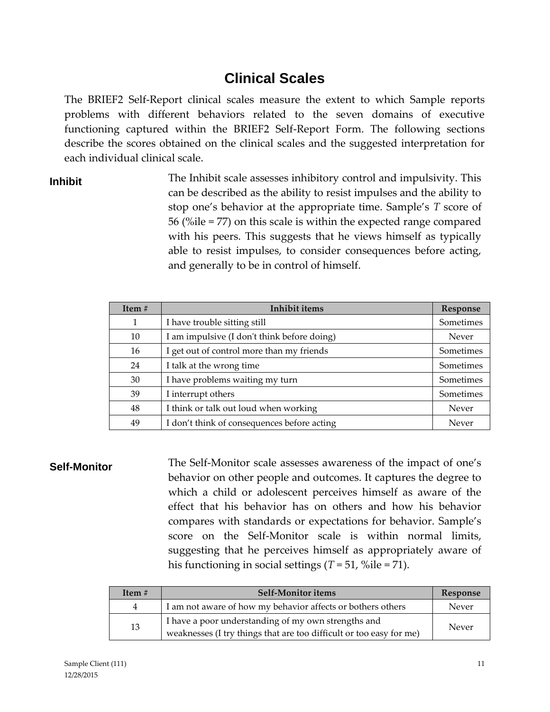## **Clinical Scales**

The BRIEF2 Self-Report clinical scales measure the extent to which Sample reports problems with different behaviors related to the seven domains of executive functioning captured within the BRIEF2 Self-Report Form. The following sections describe the scores obtained on the clinical scales and the suggested interpretation for each individual clinical scale.

**Inhibit** The Inhibit scale assesses inhibitory control and impulsivity. This can be described as the ability to resist impulses and the ability to stop one's behavior at the appropriate time. Sample's *T* score of 56 (%ile = 77) on this scale is within the expected range compared with his peers. This suggests that he views himself as typically able to resist impulses, to consider consequences before acting, and generally to be in control of himself.

| Item# | <b>Inhibit items</b>                        | Response  |
|-------|---------------------------------------------|-----------|
| 1     | I have trouble sitting still                | Sometimes |
| 10    | I am impulsive (I don't think before doing) | Never     |
| 16    | I get out of control more than my friends   | Sometimes |
| 24    | I talk at the wrong time                    | Sometimes |
| 30    | I have problems waiting my turn             | Sometimes |
| 39    | I interrupt others                          | Sometimes |
| 48    | I think or talk out loud when working       | Never     |
| 49    | I don't think of consequences before acting | Never     |

**Self-Monitor** The Self-Monitor scale assesses awareness of the impact of one's behavior on other people and outcomes. It captures the degree to which a child or adolescent perceives himself as aware of the effect that his behavior has on others and how his behavior compares with standards or expectations for behavior. Sample's score on the Self-Monitor scale is within normal limits, suggesting that he perceives himself as appropriately aware of his functioning in social settings (*T* = 51, %ile = 71).

| Item $#$ | <b>Self-Monitor items</b>                                                                                                  | Response |
|----------|----------------------------------------------------------------------------------------------------------------------------|----------|
| 4        | I am not aware of how my behavior affects or bothers others                                                                | Never    |
| 13       | I have a poor understanding of my own strengths and<br>weaknesses (I try things that are too difficult or too easy for me) | Never    |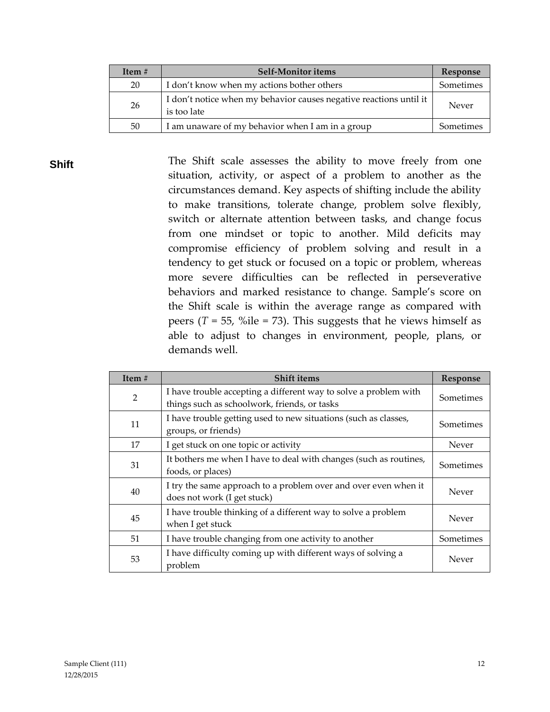| Item $#$ | <b>Self-Monitor items</b>                                                         | Response  |
|----------|-----------------------------------------------------------------------------------|-----------|
| 20       | I don't know when my actions bother others                                        | Sometimes |
| 26       | I don't notice when my behavior causes negative reactions until it<br>is too late | Never     |
| 50       | I am unaware of my behavior when I am in a group                                  | Sometimes |

**Shift** The Shift scale assesses the ability to move freely from one situation, activity, or aspect of a problem to another as the circumstances demand. Key aspects of shifting include the ability to make transitions, tolerate change, problem solve flexibly, switch or alternate attention between tasks, and change focus from one mindset or topic to another. Mild deficits may compromise efficiency of problem solving and result in a tendency to get stuck or focused on a topic or problem, whereas more severe difficulties can be reflected in perseverative behaviors and marked resistance to change. Sample's score on the Shift scale is within the average range as compared with peers  $(T = 55, %$ ile = 73). This suggests that he views himself as able to adjust to changes in environment, people, plans, or demands well.

| Item $#$       | <b>Shift items</b>                                                                                               | Response  |
|----------------|------------------------------------------------------------------------------------------------------------------|-----------|
| $\overline{2}$ | I have trouble accepting a different way to solve a problem with<br>things such as schoolwork, friends, or tasks | Sometimes |
| 11             | I have trouble getting used to new situations (such as classes,<br>groups, or friends)                           | Sometimes |
| 17             | I get stuck on one topic or activity                                                                             | Never     |
| 31             | It bothers me when I have to deal with changes (such as routines,<br>foods, or places)                           | Sometimes |
| 40             | I try the same approach to a problem over and over even when it<br>does not work (I get stuck)                   | Never     |
| 45             | I have trouble thinking of a different way to solve a problem<br>when I get stuck                                | Never     |
| 51             | I have trouble changing from one activity to another                                                             | Sometimes |
| 53             | I have difficulty coming up with different ways of solving a<br>problem                                          | Never     |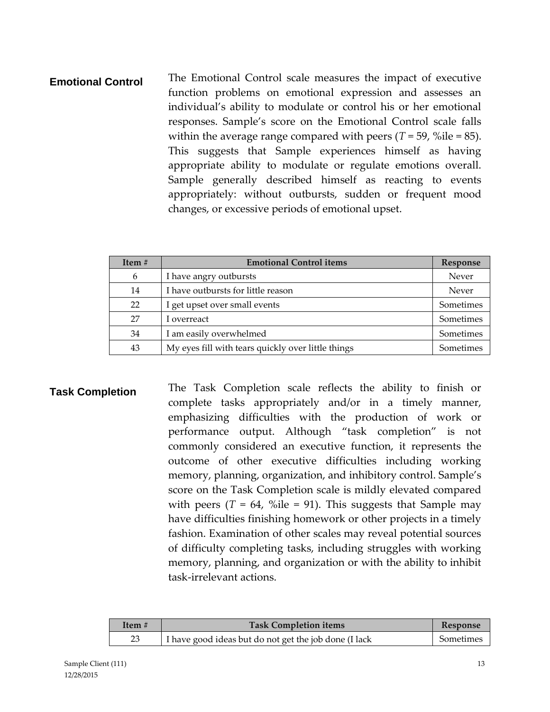### **Emotional Control** The Emotional Control scale measures the impact of executive function problems on emotional expression and assesses an individual's ability to modulate or control his or her emotional responses. Sample's score on the Emotional Control scale falls within the average range compared with peers  $(T = 59, \%$ ile = 85). This suggests that Sample experiences himself as having appropriate ability to modulate or regulate emotions overall. Sample generally described himself as reacting to events appropriately: without outbursts, sudden or frequent mood changes, or excessive periods of emotional upset.

| Item $#$ | <b>Emotional Control items</b>                     | Response  |
|----------|----------------------------------------------------|-----------|
| 6        | I have angry outbursts                             | Never     |
| 14       | I have outbursts for little reason                 | Never     |
| 22       | I get upset over small events                      | Sometimes |
| 27       | I overreact                                        | Sometimes |
| 34       | I am easily overwhelmed                            | Sometimes |
| 43       | My eyes fill with tears quickly over little things | Sometimes |

**Task Completion** The Task Completion scale reflects the ability to finish or complete tasks appropriately and/or in a timely manner, emphasizing difficulties with the production of work or performance output. Although "task completion" is not commonly considered an executive function, it represents the outcome of other executive difficulties including working memory, planning, organization, and inhibitory control. Sample's score on the Task Completion scale is mildly elevated compared with peers  $(T = 64, %$ ile = 91). This suggests that Sample may have difficulties finishing homework or other projects in a timely fashion. Examination of other scales may reveal potential sources of difficulty completing tasks, including struggles with working memory, planning, and organization or with the ability to inhibit task-irrelevant actions.

| Item # | <b>Task Completion items</b>                          | <b>Response</b> |
|--------|-------------------------------------------------------|-----------------|
| 23     | I have good ideas but do not get the job done (I lack | Sometimes       |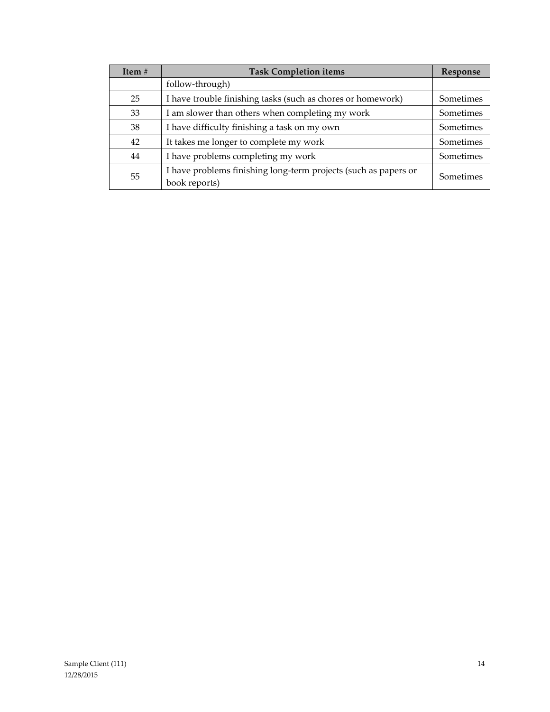| Item $#$ | <b>Task Completion items</b>                                                     | Response  |
|----------|----------------------------------------------------------------------------------|-----------|
|          | follow-through)                                                                  |           |
| 25       | I have trouble finishing tasks (such as chores or homework)                      | Sometimes |
| 33       | I am slower than others when completing my work                                  | Sometimes |
| 38       | I have difficulty finishing a task on my own                                     | Sometimes |
| 42       | It takes me longer to complete my work                                           | Sometimes |
| 44       | I have problems completing my work                                               | Sometimes |
| 55       | I have problems finishing long-term projects (such as papers or<br>book reports) | Sometimes |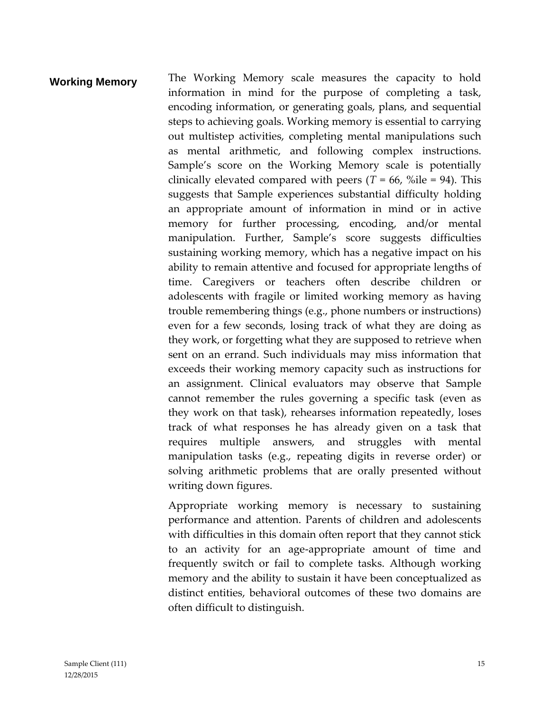### **Working Memory** The Working Memory scale measures the capacity to hold information in mind for the purpose of completing a task, encoding information, or generating goals, plans, and sequential steps to achieving goals. Working memory is essential to carrying out multistep activities, completing mental manipulations such as mental arithmetic, and following complex instructions. Sample's score on the Working Memory scale is potentially clinically elevated compared with peers  $(T = 66, %$ ile = 94). This suggests that Sample experiences substantial difficulty holding an appropriate amount of information in mind or in active memory for further processing, encoding, and/or mental manipulation. Further, Sample's score suggests difficulties sustaining working memory, which has a negative impact on his ability to remain attentive and focused for appropriate lengths of time. Caregivers or teachers often describe children or adolescents with fragile or limited working memory as having trouble remembering things (e.g., phone numbers or instructions) even for a few seconds, losing track of what they are doing as they work, or forgetting what they are supposed to retrieve when sent on an errand. Such individuals may miss information that exceeds their working memory capacity such as instructions for an assignment. Clinical evaluators may observe that Sample cannot remember the rules governing a specific task (even as they work on that task), rehearses information repeatedly, loses track of what responses he has already given on a task that requires multiple answers, and struggles with mental manipulation tasks (e.g., repeating digits in reverse order) or solving arithmetic problems that are orally presented without writing down figures.

Appropriate working memory is necessary to sustaining performance and attention. Parents of children and adolescents with difficulties in this domain often report that they cannot stick to an activity for an age-appropriate amount of time and frequently switch or fail to complete tasks. Although working memory and the ability to sustain it have been conceptualized as distinct entities, behavioral outcomes of these two domains are often difficult to distinguish.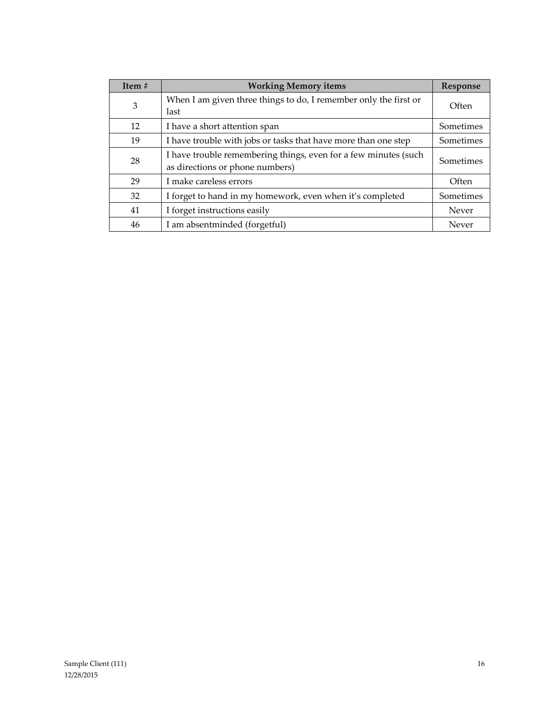| Item $#$ | <b>Working Memory items</b>                                                                        | Response  |
|----------|----------------------------------------------------------------------------------------------------|-----------|
| 3        | When I am given three things to do, I remember only the first or<br>last                           | Often     |
| 12       | I have a short attention span                                                                      | Sometimes |
| 19       | I have trouble with jobs or tasks that have more than one step                                     | Sometimes |
| 28       | I have trouble remembering things, even for a few minutes (such<br>as directions or phone numbers) | Sometimes |
| 29       | I make careless errors                                                                             | Often     |
| 32       | I forget to hand in my homework, even when it's completed                                          | Sometimes |
| 41       | I forget instructions easily                                                                       | Never     |
| 46       | I am absentminded (forgetful)                                                                      | Never     |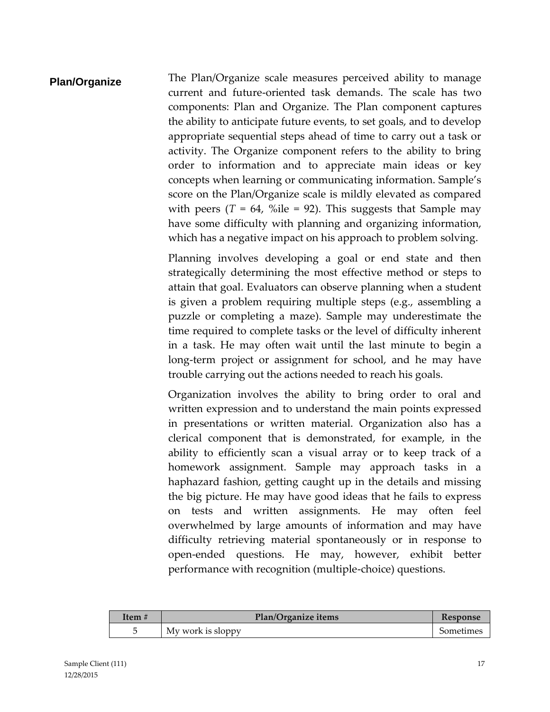**Plan/Organize** The Plan/Organize scale measures perceived ability to manage current and future-oriented task demands. The scale has two components: Plan and Organize. The Plan component captures the ability to anticipate future events, to set goals, and to develop appropriate sequential steps ahead of time to carry out a task or activity. The Organize component refers to the ability to bring order to information and to appreciate main ideas or key concepts when learning or communicating information. Sample's score on the Plan/Organize scale is mildly elevated as compared with peers  $(T = 64, %$ ile = 92). This suggests that Sample may have some difficulty with planning and organizing information, which has a negative impact on his approach to problem solving.

> Planning involves developing a goal or end state and then strategically determining the most effective method or steps to attain that goal. Evaluators can observe planning when a student is given a problem requiring multiple steps (e.g., assembling a puzzle or completing a maze). Sample may underestimate the time required to complete tasks or the level of difficulty inherent in a task. He may often wait until the last minute to begin a long-term project or assignment for school, and he may have trouble carrying out the actions needed to reach his goals.

> Organization involves the ability to bring order to oral and written expression and to understand the main points expressed in presentations or written material. Organization also has a clerical component that is demonstrated, for example, in the ability to efficiently scan a visual array or to keep track of a homework assignment. Sample may approach tasks in a haphazard fashion, getting caught up in the details and missing the big picture. He may have good ideas that he fails to express on tests and written assignments. He may often feel overwhelmed by large amounts of information and may have difficulty retrieving material spontaneously or in response to open-ended questions. He may, however, exhibit better performance with recognition (multiple-choice) questions.

| Item # | Plan/Organize items | <b>Kesponse</b> |
|--------|---------------------|-----------------|
|        | My work is sloppy   | Sometimes       |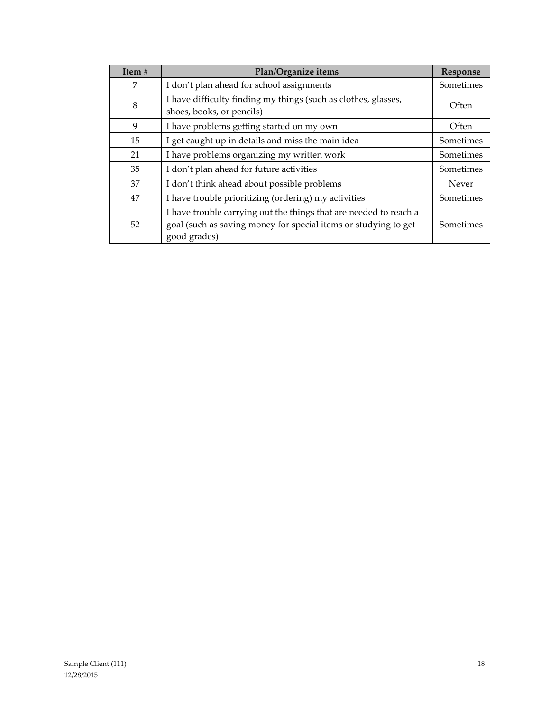| Item# | Plan/Organize items                                                                                                                                  | Response  |
|-------|------------------------------------------------------------------------------------------------------------------------------------------------------|-----------|
| 7     | I don't plan ahead for school assignments                                                                                                            | Sometimes |
| 8     | I have difficulty finding my things (such as clothes, glasses,<br>shoes, books, or pencils)                                                          | Often     |
| 9     | I have problems getting started on my own                                                                                                            | Often     |
| 15    | I get caught up in details and miss the main idea                                                                                                    | Sometimes |
| 21    | I have problems organizing my written work                                                                                                           | Sometimes |
| 35    | I don't plan ahead for future activities                                                                                                             | Sometimes |
| 37    | I don't think ahead about possible problems                                                                                                          | Never     |
| 47    | I have trouble prioritizing (ordering) my activities                                                                                                 | Sometimes |
| 52    | I have trouble carrying out the things that are needed to reach a<br>goal (such as saving money for special items or studying to get<br>good grades) | Sometimes |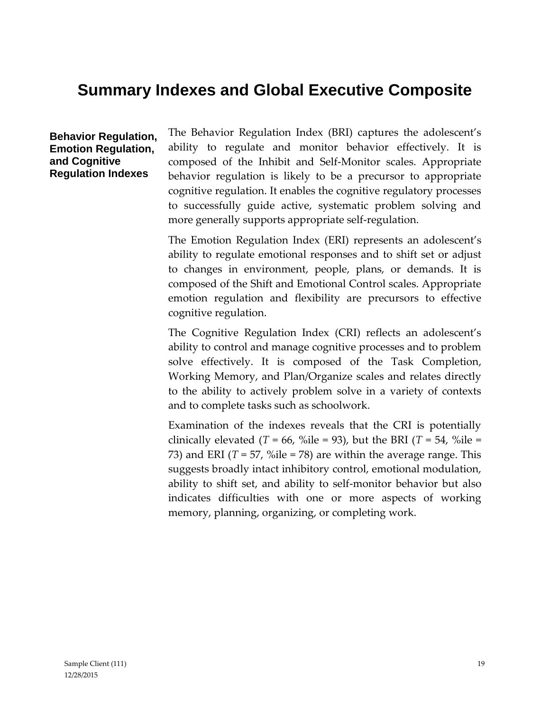## **Summary Indexes and Global Executive Composite**

**Behavior Regulation, Emotion Regulation, and Cognitive Regulation Indexes**

The Behavior Regulation Index (BRI) captures the adolescent's ability to regulate and monitor behavior effectively. It is composed of the Inhibit and Self-Monitor scales. Appropriate behavior regulation is likely to be a precursor to appropriate cognitive regulation. It enables the cognitive regulatory processes to successfully guide active, systematic problem solving and more generally supports appropriate self-regulation.

The Emotion Regulation Index (ERI) represents an adolescent's ability to regulate emotional responses and to shift set or adjust to changes in environment, people, plans, or demands. It is composed of the Shift and Emotional Control scales. Appropriate emotion regulation and flexibility are precursors to effective cognitive regulation.

The Cognitive Regulation Index (CRI) reflects an adolescent's ability to control and manage cognitive processes and to problem solve effectively. It is composed of the Task Completion, Working Memory, and Plan/Organize scales and relates directly to the ability to actively problem solve in a variety of contexts and to complete tasks such as schoolwork.

Examination of the indexes reveals that the CRI is potentially clinically elevated ( $T = 66$ , %ile = 93), but the BRI ( $T = 54$ , %ile = 73) and ERI ( $T = 57$ , %ile = 78) are within the average range. This suggests broadly intact inhibitory control, emotional modulation, ability to shift set, and ability to self-monitor behavior but also indicates difficulties with one or more aspects of working memory, planning, organizing, or completing work.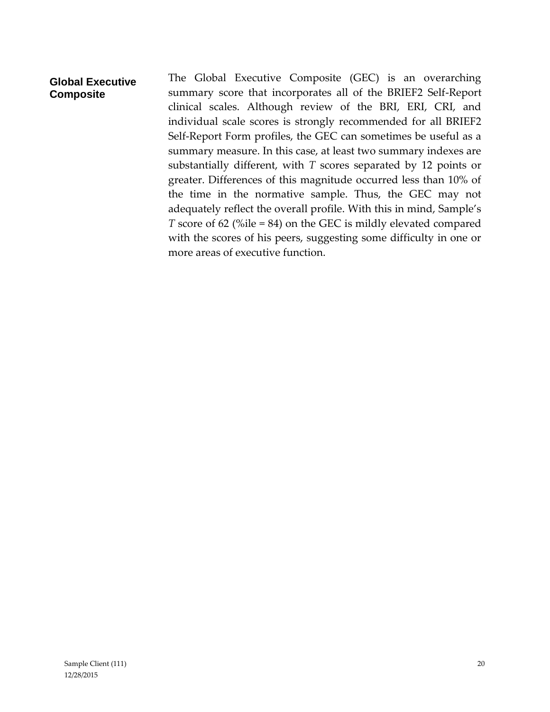#### **Global Executive Composite**

The Global Executive Composite (GEC) is an overarching summary score that incorporates all of the BRIEF2 Self-Report clinical scales. Although review of the BRI, ERI, CRI, and individual scale scores is strongly recommended for all BRIEF2 Self-Report Form profiles, the GEC can sometimes be useful as a summary measure. In this case, at least two summary indexes are substantially different, with *T* scores separated by 12 points or greater. Differences of this magnitude occurred less than 10% of the time in the normative sample. Thus, the GEC may not adequately reflect the overall profile. With this in mind, Sample's *T* score of 62 (%ile = 84) on the GEC is mildly elevated compared with the scores of his peers, suggesting some difficulty in one or more areas of executive function.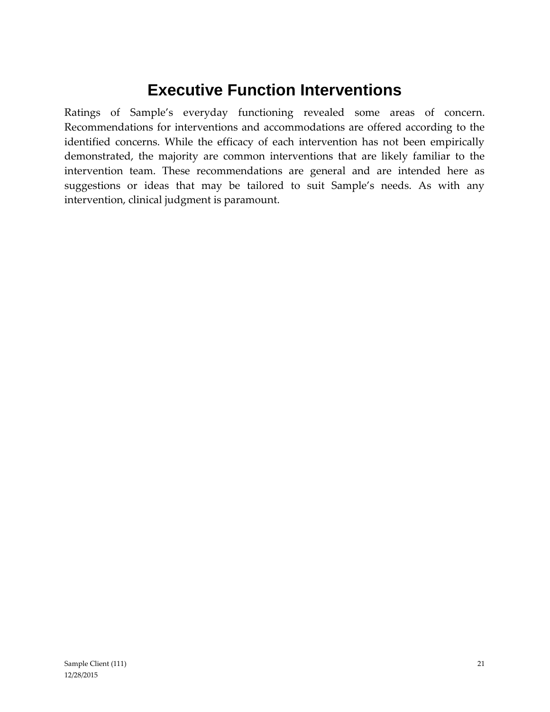## **Executive Function Interventions**

Ratings of Sample's everyday functioning revealed some areas of concern. Recommendations for interventions and accommodations are offered according to the identified concerns. While the efficacy of each intervention has not been empirically demonstrated, the majority are common interventions that are likely familiar to the intervention team. These recommendations are general and are intended here as suggestions or ideas that may be tailored to suit Sample's needs. As with any intervention, clinical judgment is paramount.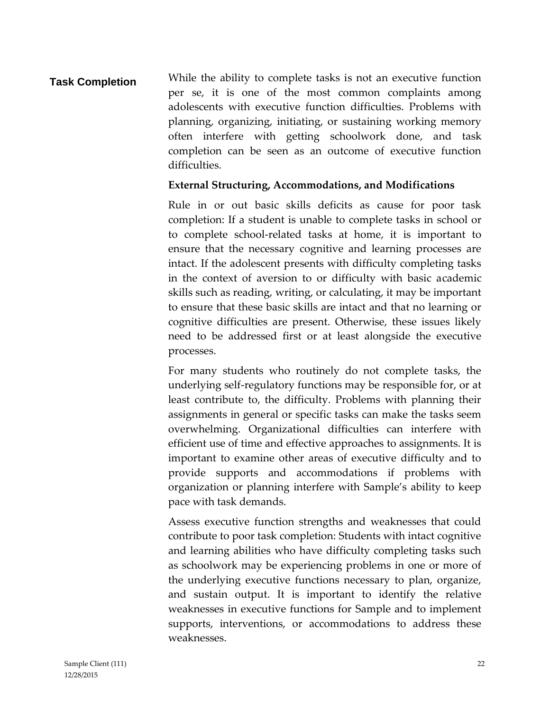**Task Completion** While the ability to complete tasks is not an executive function per se, it is one of the most common complaints among adolescents with executive function difficulties. Problems with planning, organizing, initiating, or sustaining working memory often interfere with getting schoolwork done, and task completion can be seen as an outcome of executive function difficulties.

#### **External Structuring, Accommodations, and Modifications**

Rule in or out basic skills deficits as cause for poor task completion: If a student is unable to complete tasks in school or to complete school-related tasks at home, it is important to ensure that the necessary cognitive and learning processes are intact. If the adolescent presents with difficulty completing tasks in the context of aversion to or difficulty with basic academic skills such as reading, writing, or calculating, it may be important to ensure that these basic skills are intact and that no learning or cognitive difficulties are present. Otherwise, these issues likely need to be addressed first or at least alongside the executive processes.

For many students who routinely do not complete tasks, the underlying self-regulatory functions may be responsible for, or at least contribute to, the difficulty. Problems with planning their assignments in general or specific tasks can make the tasks seem overwhelming. Organizational difficulties can interfere with efficient use of time and effective approaches to assignments. It is important to examine other areas of executive difficulty and to provide supports and accommodations if problems with organization or planning interfere with Sample's ability to keep pace with task demands.

Assess executive function strengths and weaknesses that could contribute to poor task completion: Students with intact cognitive and learning abilities who have difficulty completing tasks such as schoolwork may be experiencing problems in one or more of the underlying executive functions necessary to plan, organize, and sustain output. It is important to identify the relative weaknesses in executive functions for Sample and to implement supports, interventions, or accommodations to address these weaknesses.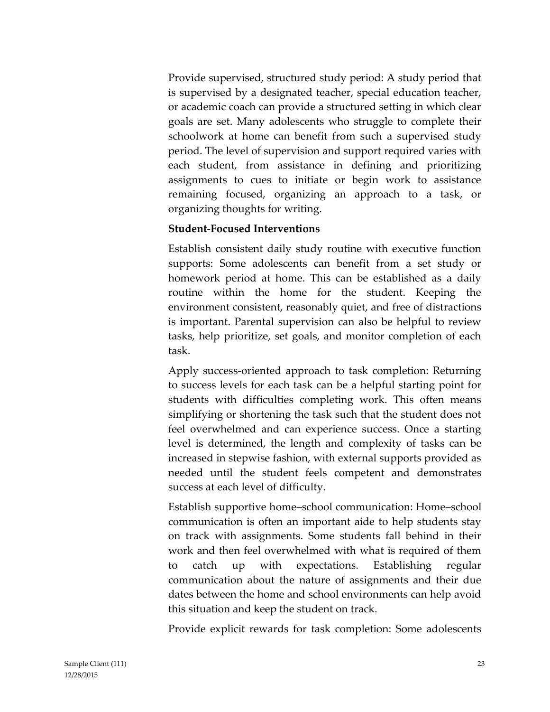Provide supervised, structured study period: A study period that is supervised by a designated teacher, special education teacher, or academic coach can provide a structured setting in which clear goals are set. Many adolescents who struggle to complete their schoolwork at home can benefit from such a supervised study period. The level of supervision and support required varies with each student, from assistance in defining and prioritizing assignments to cues to initiate or begin work to assistance remaining focused, organizing an approach to a task, or organizing thoughts for writing.

#### **Student-Focused Interventions**

Establish consistent daily study routine with executive function supports: Some adolescents can benefit from a set study or homework period at home. This can be established as a daily routine within the home for the student. Keeping the environment consistent, reasonably quiet, and free of distractions is important. Parental supervision can also be helpful to review tasks, help prioritize, set goals, and monitor completion of each task.

Apply success-oriented approach to task completion: Returning to success levels for each task can be a helpful starting point for students with difficulties completing work. This often means simplifying or shortening the task such that the student does not feel overwhelmed and can experience success. Once a starting level is determined, the length and complexity of tasks can be increased in stepwise fashion, with external supports provided as needed until the student feels competent and demonstrates success at each level of difficulty.

Establish supportive home–school communication: Home–school communication is often an important aide to help students stay on track with assignments. Some students fall behind in their work and then feel overwhelmed with what is required of them to catch up with expectations. Establishing regular communication about the nature of assignments and their due dates between the home and school environments can help avoid this situation and keep the student on track.

Provide explicit rewards for task completion: Some adolescents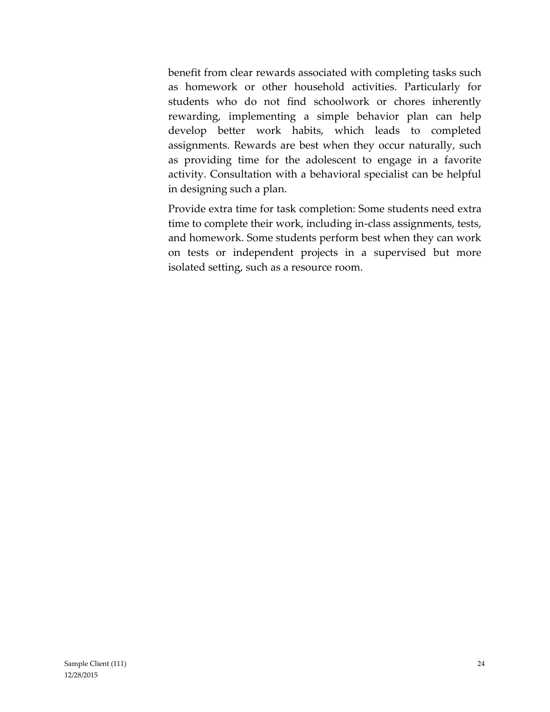benefit from clear rewards associated with completing tasks such as homework or other household activities. Particularly for students who do not find schoolwork or chores inherently rewarding, implementing a simple behavior plan can help develop better work habits, which leads to completed assignments. Rewards are best when they occur naturally, such as providing time for the adolescent to engage in a favorite activity. Consultation with a behavioral specialist can be helpful in designing such a plan.

Provide extra time for task completion: Some students need extra time to complete their work, including in-class assignments, tests, and homework. Some students perform best when they can work on tests or independent projects in a supervised but more isolated setting, such as a resource room.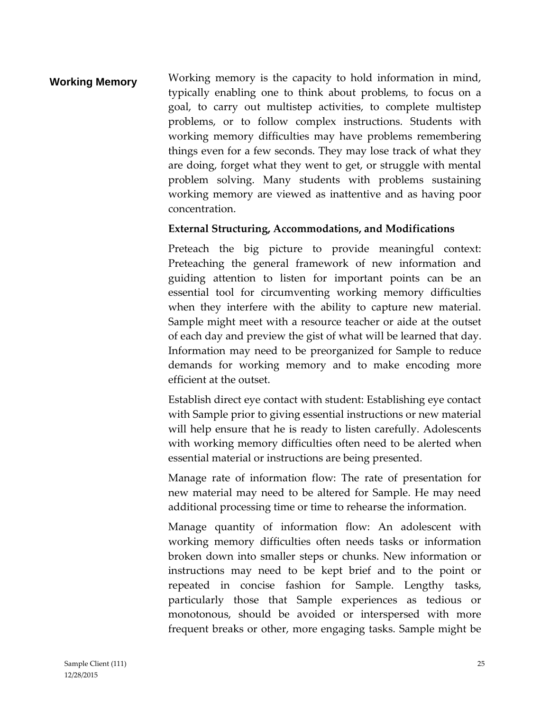### **Working Memory** Working memory is the capacity to hold information in mind, typically enabling one to think about problems, to focus on a goal, to carry out multistep activities, to complete multistep problems, or to follow complex instructions. Students with working memory difficulties may have problems remembering things even for a few seconds. They may lose track of what they are doing, forget what they went to get, or struggle with mental problem solving. Many students with problems sustaining working memory are viewed as inattentive and as having poor concentration.

#### **External Structuring, Accommodations, and Modifications**

Preteach the big picture to provide meaningful context: Preteaching the general framework of new information and guiding attention to listen for important points can be an essential tool for circumventing working memory difficulties when they interfere with the ability to capture new material. Sample might meet with a resource teacher or aide at the outset of each day and preview the gist of what will be learned that day. Information may need to be preorganized for Sample to reduce demands for working memory and to make encoding more efficient at the outset.

Establish direct eye contact with student: Establishing eye contact with Sample prior to giving essential instructions or new material will help ensure that he is ready to listen carefully. Adolescents with working memory difficulties often need to be alerted when essential material or instructions are being presented.

Manage rate of information flow: The rate of presentation for new material may need to be altered for Sample. He may need additional processing time or time to rehearse the information.

Manage quantity of information flow: An adolescent with working memory difficulties often needs tasks or information broken down into smaller steps or chunks. New information or instructions may need to be kept brief and to the point or repeated in concise fashion for Sample. Lengthy tasks, particularly those that Sample experiences as tedious or monotonous, should be avoided or interspersed with more frequent breaks or other, more engaging tasks. Sample might be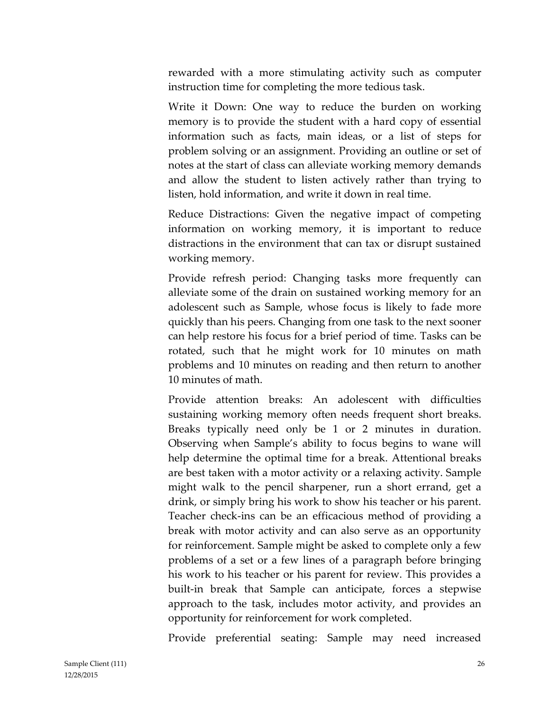rewarded with a more stimulating activity such as computer instruction time for completing the more tedious task.

Write it Down: One way to reduce the burden on working memory is to provide the student with a hard copy of essential information such as facts, main ideas, or a list of steps for problem solving or an assignment. Providing an outline or set of notes at the start of class can alleviate working memory demands and allow the student to listen actively rather than trying to listen, hold information, and write it down in real time.

Reduce Distractions: Given the negative impact of competing information on working memory, it is important to reduce distractions in the environment that can tax or disrupt sustained working memory.

Provide refresh period: Changing tasks more frequently can alleviate some of the drain on sustained working memory for an adolescent such as Sample, whose focus is likely to fade more quickly than his peers. Changing from one task to the next sooner can help restore his focus for a brief period of time. Tasks can be rotated, such that he might work for 10 minutes on math problems and 10 minutes on reading and then return to another 10 minutes of math.

Provide attention breaks: An adolescent with difficulties sustaining working memory often needs frequent short breaks. Breaks typically need only be 1 or 2 minutes in duration. Observing when Sample's ability to focus begins to wane will help determine the optimal time for a break. Attentional breaks are best taken with a motor activity or a relaxing activity. Sample might walk to the pencil sharpener, run a short errand, get a drink, or simply bring his work to show his teacher or his parent. Teacher check-ins can be an efficacious method of providing a break with motor activity and can also serve as an opportunity for reinforcement. Sample might be asked to complete only a few problems of a set or a few lines of a paragraph before bringing his work to his teacher or his parent for review. This provides a built-in break that Sample can anticipate, forces a stepwise approach to the task, includes motor activity, and provides an opportunity for reinforcement for work completed.

Provide preferential seating: Sample may need increased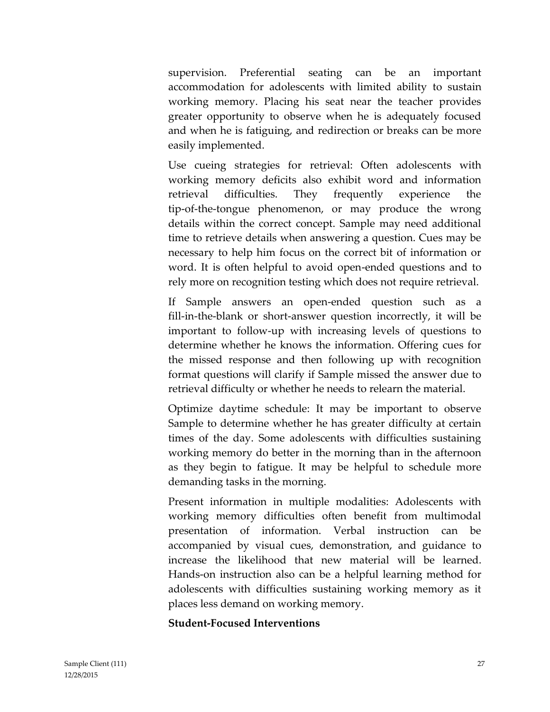supervision. Preferential seating can be an important accommodation for adolescents with limited ability to sustain working memory. Placing his seat near the teacher provides greater opportunity to observe when he is adequately focused and when he is fatiguing, and redirection or breaks can be more easily implemented.

Use cueing strategies for retrieval: Often adolescents with working memory deficits also exhibit word and information retrieval difficulties. They frequently experience the tip-of-the-tongue phenomenon, or may produce the wrong details within the correct concept. Sample may need additional time to retrieve details when answering a question. Cues may be necessary to help him focus on the correct bit of information or word. It is often helpful to avoid open-ended questions and to rely more on recognition testing which does not require retrieval.

If Sample answers an open-ended question such as a fill-in-the-blank or short-answer question incorrectly, it will be important to follow-up with increasing levels of questions to determine whether he knows the information. Offering cues for the missed response and then following up with recognition format questions will clarify if Sample missed the answer due to retrieval difficulty or whether he needs to relearn the material.

Optimize daytime schedule: It may be important to observe Sample to determine whether he has greater difficulty at certain times of the day. Some adolescents with difficulties sustaining working memory do better in the morning than in the afternoon as they begin to fatigue. It may be helpful to schedule more demanding tasks in the morning.

Present information in multiple modalities: Adolescents with working memory difficulties often benefit from multimodal presentation of information. Verbal instruction can be accompanied by visual cues, demonstration, and guidance to increase the likelihood that new material will be learned. Hands-on instruction also can be a helpful learning method for adolescents with difficulties sustaining working memory as it places less demand on working memory.

#### **Student-Focused Interventions**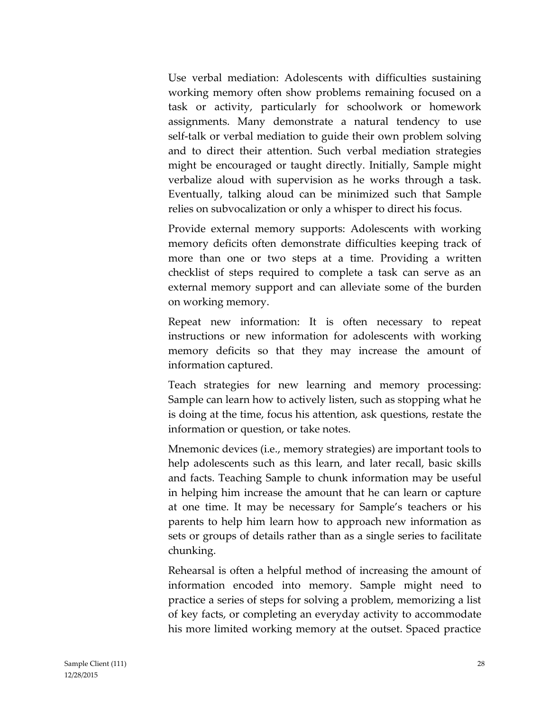Use verbal mediation: Adolescents with difficulties sustaining working memory often show problems remaining focused on a task or activity, particularly for schoolwork or homework assignments. Many demonstrate a natural tendency to use self-talk or verbal mediation to guide their own problem solving and to direct their attention. Such verbal mediation strategies might be encouraged or taught directly. Initially, Sample might verbalize aloud with supervision as he works through a task. Eventually, talking aloud can be minimized such that Sample relies on subvocalization or only a whisper to direct his focus.

Provide external memory supports: Adolescents with working memory deficits often demonstrate difficulties keeping track of more than one or two steps at a time. Providing a written checklist of steps required to complete a task can serve as an external memory support and can alleviate some of the burden on working memory.

Repeat new information: It is often necessary to repeat instructions or new information for adolescents with working memory deficits so that they may increase the amount of information captured.

Teach strategies for new learning and memory processing: Sample can learn how to actively listen, such as stopping what he is doing at the time, focus his attention, ask questions, restate the information or question, or take notes.

Mnemonic devices (i.e., memory strategies) are important tools to help adolescents such as this learn, and later recall, basic skills and facts. Teaching Sample to chunk information may be useful in helping him increase the amount that he can learn or capture at one time. It may be necessary for Sample's teachers or his parents to help him learn how to approach new information as sets or groups of details rather than as a single series to facilitate chunking.

Rehearsal is often a helpful method of increasing the amount of information encoded into memory. Sample might need to practice a series of steps for solving a problem, memorizing a list of key facts, or completing an everyday activity to accommodate his more limited working memory at the outset. Spaced practice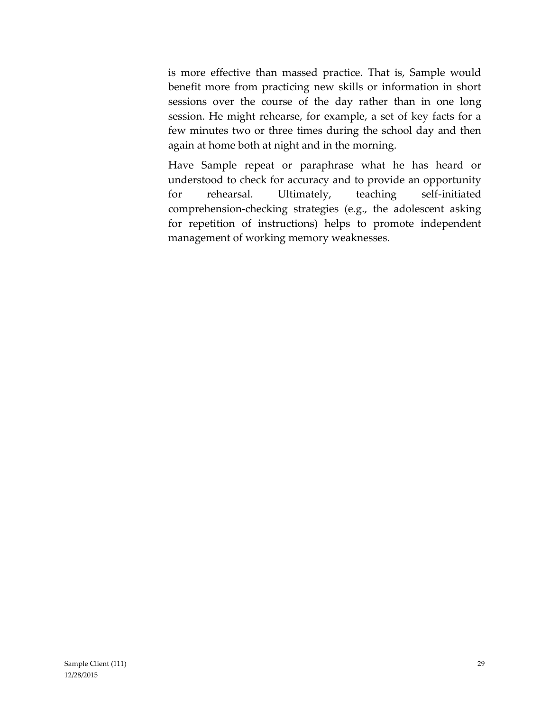is more effective than massed practice. That is, Sample would benefit more from practicing new skills or information in short sessions over the course of the day rather than in one long session. He might rehearse, for example, a set of key facts for a few minutes two or three times during the school day and then again at home both at night and in the morning.

Have Sample repeat or paraphrase what he has heard or understood to check for accuracy and to provide an opportunity for rehearsal. Ultimately, teaching self-initiated comprehension-checking strategies (e.g., the adolescent asking for repetition of instructions) helps to promote independent management of working memory weaknesses.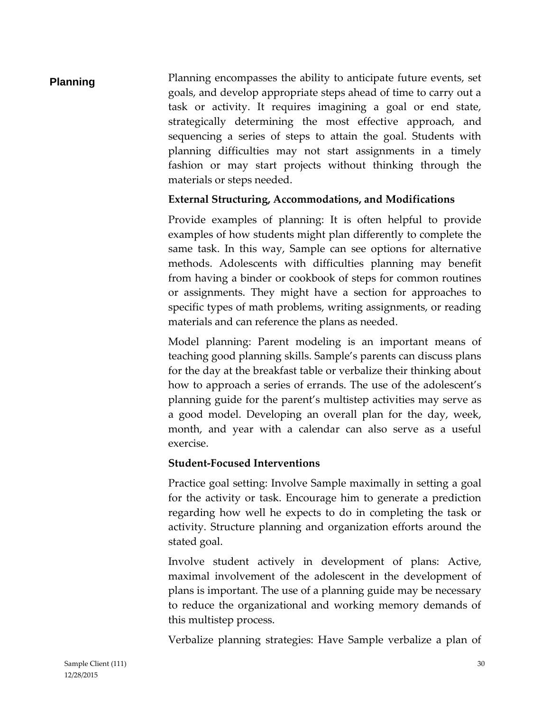**Planning** Planning encompasses the ability to anticipate future events, set goals, and develop appropriate steps ahead of time to carry out a task or activity. It requires imagining a goal or end state, strategically determining the most effective approach, and sequencing a series of steps to attain the goal. Students with planning difficulties may not start assignments in a timely fashion or may start projects without thinking through the materials or steps needed.

#### **External Structuring, Accommodations, and Modifications**

Provide examples of planning: It is often helpful to provide examples of how students might plan differently to complete the same task. In this way, Sample can see options for alternative methods. Adolescents with difficulties planning may benefit from having a binder or cookbook of steps for common routines or assignments. They might have a section for approaches to specific types of math problems, writing assignments, or reading materials and can reference the plans as needed.

Model planning: Parent modeling is an important means of teaching good planning skills. Sample's parents can discuss plans for the day at the breakfast table or verbalize their thinking about how to approach a series of errands. The use of the adolescent's planning guide for the parent's multistep activities may serve as a good model. Developing an overall plan for the day, week, month, and year with a calendar can also serve as a useful exercise.

#### **Student-Focused Interventions**

Practice goal setting: Involve Sample maximally in setting a goal for the activity or task. Encourage him to generate a prediction regarding how well he expects to do in completing the task or activity. Structure planning and organization efforts around the stated goal.

Involve student actively in development of plans: Active, maximal involvement of the adolescent in the development of plans is important. The use of a planning guide may be necessary to reduce the organizational and working memory demands of this multistep process.

Verbalize planning strategies: Have Sample verbalize a plan of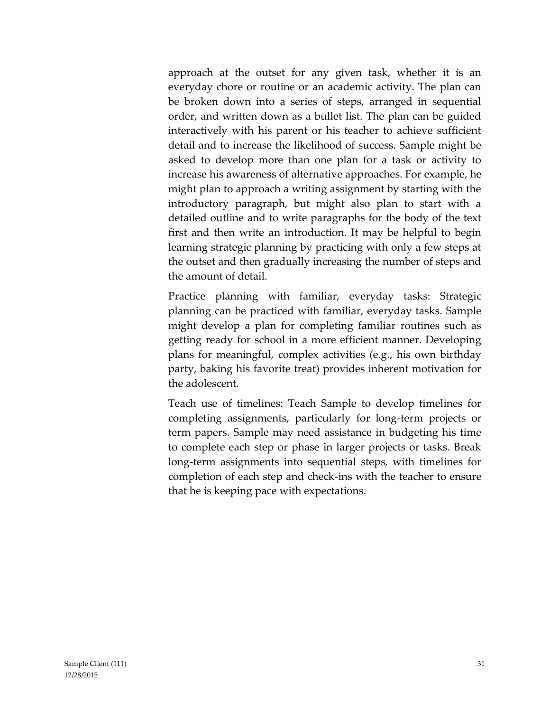approach at the outset for any given task, whether it is an everyday chore or routine or an academic activity. The plan can be broken down into a series of steps, arranged in sequential order, and written down as a bullet list. The plan can be guided interactively with his parent or his teacher to achieve sufficient detail and to increase the likelihood of success. Sample might be asked to develop more than one plan for a task or activity to increase his awareness of alternative approaches. For example, he might plan to approach a writing assignment by starting with the introductory paragraph, but might also plan to start with a detailed outline and to write paragraphs for the body of the text first and then write an introduction. It may be helpful to begin learning strategic planning by practicing with only a few steps at the outset and then gradually increasing the number of steps and the amount of detail.

Practice planning with familiar, everyday tasks: Strategic planning can be practiced with familiar, everyday tasks. Sample might develop a plan for completing familiar routines such as getting ready for school in a more efficient manner. Developing plans for meaningful, complex activities (e.g., his own birthday party, baking his favorite treat) provides inherent motivation for the adolescent.

Teach use of timelines: Teach Sample to develop timelines for completing assignments, particularly for long-term projects or term papers. Sample may need assistance in budgeting his time to complete each step or phase in larger projects or tasks. Break long-term assignments into sequential steps, with timelines for completion of each step and check-ins with the teacher to ensure that he is keeping pace with expectations.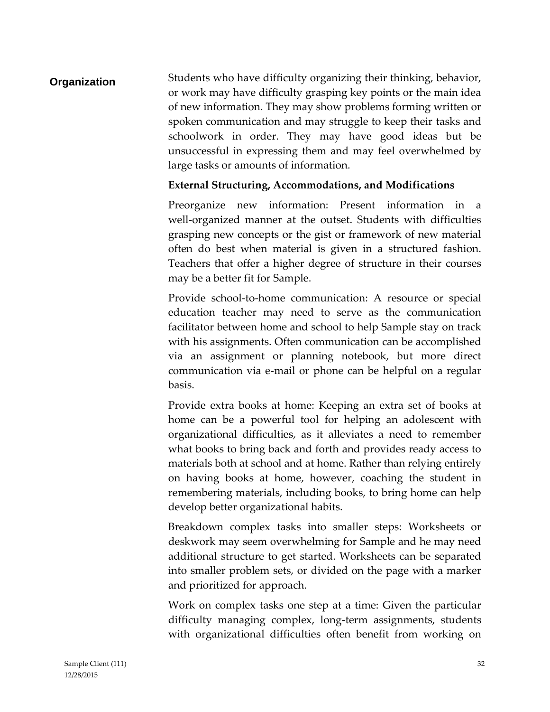### **Organization** Students who have difficulty organizing their thinking, behavior, or work may have difficulty grasping key points or the main idea of new information. They may show problems forming written or spoken communication and may struggle to keep their tasks and schoolwork in order. They may have good ideas but be unsuccessful in expressing them and may feel overwhelmed by large tasks or amounts of information.

#### **External Structuring, Accommodations, and Modifications**

Preorganize new information: Present information in a well-organized manner at the outset. Students with difficulties grasping new concepts or the gist or framework of new material often do best when material is given in a structured fashion. Teachers that offer a higher degree of structure in their courses may be a better fit for Sample.

Provide school-to-home communication: A resource or special education teacher may need to serve as the communication facilitator between home and school to help Sample stay on track with his assignments. Often communication can be accomplished via an assignment or planning notebook, but more direct communication via e-mail or phone can be helpful on a regular basis.

Provide extra books at home: Keeping an extra set of books at home can be a powerful tool for helping an adolescent with organizational difficulties, as it alleviates a need to remember what books to bring back and forth and provides ready access to materials both at school and at home. Rather than relying entirely on having books at home, however, coaching the student in remembering materials, including books, to bring home can help develop better organizational habits.

Breakdown complex tasks into smaller steps: Worksheets or deskwork may seem overwhelming for Sample and he may need additional structure to get started. Worksheets can be separated into smaller problem sets, or divided on the page with a marker and prioritized for approach.

Work on complex tasks one step at a time: Given the particular difficulty managing complex, long-term assignments, students with organizational difficulties often benefit from working on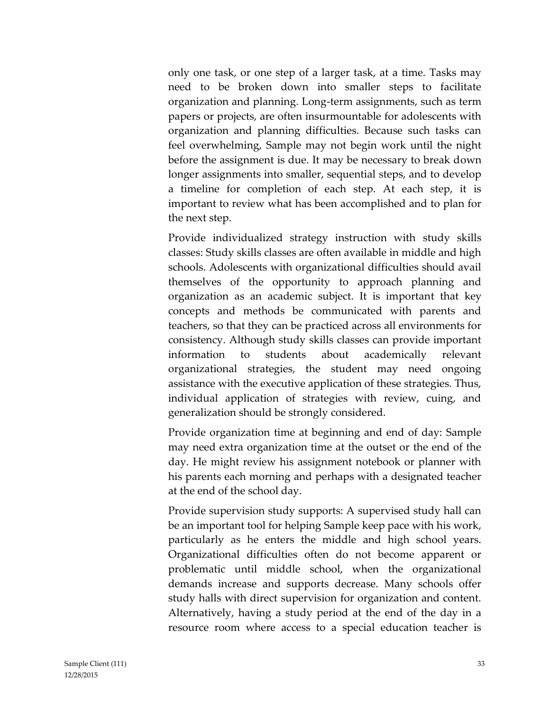only one task, or one step of a larger task, at a time. Tasks may need to be broken down into smaller steps to facilitate organization and planning. Long-term assignments, such as term papers or projects, are often insurmountable for adolescents with organization and planning difficulties. Because such tasks can feel overwhelming, Sample may not begin work until the night before the assignment is due. It may be necessary to break down longer assignments into smaller, sequential steps, and to develop a timeline for completion of each step. At each step, it is important to review what has been accomplished and to plan for the next step.

Provide individualized strategy instruction with study skills classes: Study skills classes are often available in middle and high schools. Adolescents with organizational difficulties should avail themselves of the opportunity to approach planning and organization as an academic subject. It is important that key concepts and methods be communicated with parents and teachers, so that they can be practiced across all environments for consistency. Although study skills classes can provide important information to students about academically relevant organizational strategies, the student may need ongoing assistance with the executive application of these strategies. Thus, individual application of strategies with review, cuing, and generalization should be strongly considered.

Provide organization time at beginning and end of day: Sample may need extra organization time at the outset or the end of the day. He might review his assignment notebook or planner with his parents each morning and perhaps with a designated teacher at the end of the school day.

Provide supervision study supports: A supervised study hall can be an important tool for helping Sample keep pace with his work, particularly as he enters the middle and high school years. Organizational difficulties often do not become apparent or problematic until middle school, when the organizational demands increase and supports decrease. Many schools offer study halls with direct supervision for organization and content. Alternatively, having a study period at the end of the day in a resource room where access to a special education teacher is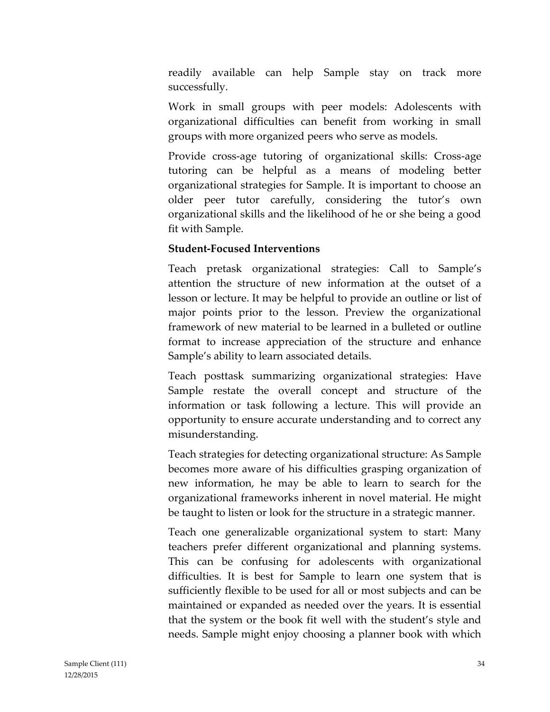readily available can help Sample stay on track more successfully.

Work in small groups with peer models: Adolescents with organizational difficulties can benefit from working in small groups with more organized peers who serve as models.

Provide cross-age tutoring of organizational skills: Cross-age tutoring can be helpful as a means of modeling better organizational strategies for Sample. It is important to choose an older peer tutor carefully, considering the tutor's own organizational skills and the likelihood of he or she being a good fit with Sample.

#### **Student-Focused Interventions**

Teach pretask organizational strategies: Call to Sample's attention the structure of new information at the outset of a lesson or lecture. It may be helpful to provide an outline or list of major points prior to the lesson. Preview the organizational framework of new material to be learned in a bulleted or outline format to increase appreciation of the structure and enhance Sample's ability to learn associated details.

Teach posttask summarizing organizational strategies: Have Sample restate the overall concept and structure of the information or task following a lecture. This will provide an opportunity to ensure accurate understanding and to correct any misunderstanding.

Teach strategies for detecting organizational structure: As Sample becomes more aware of his difficulties grasping organization of new information, he may be able to learn to search for the organizational frameworks inherent in novel material. He might be taught to listen or look for the structure in a strategic manner.

Teach one generalizable organizational system to start: Many teachers prefer different organizational and planning systems. This can be confusing for adolescents with organizational difficulties. It is best for Sample to learn one system that is sufficiently flexible to be used for all or most subjects and can be maintained or expanded as needed over the years. It is essential that the system or the book fit well with the student's style and needs. Sample might enjoy choosing a planner book with which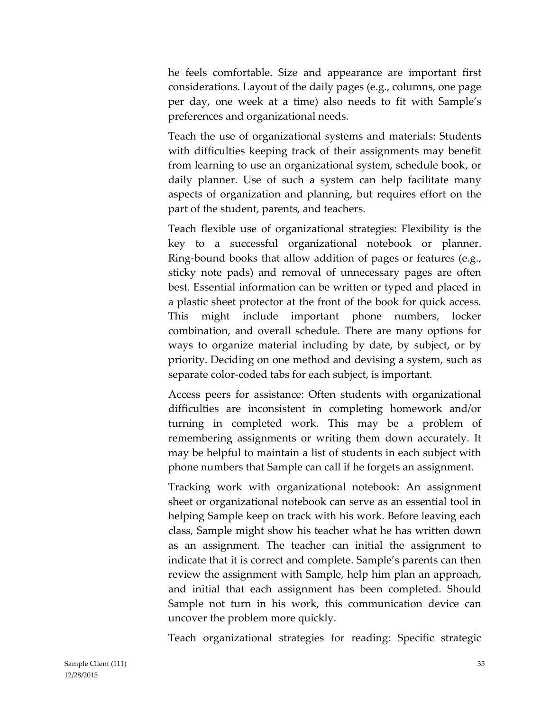he feels comfortable. Size and appearance are important first considerations. Layout of the daily pages (e.g., columns, one page per day, one week at a time) also needs to fit with Sample's preferences and organizational needs.

Teach the use of organizational systems and materials: Students with difficulties keeping track of their assignments may benefit from learning to use an organizational system, schedule book, or daily planner. Use of such a system can help facilitate many aspects of organization and planning, but requires effort on the part of the student, parents, and teachers.

Teach flexible use of organizational strategies: Flexibility is the key to a successful organizational notebook or planner. Ring-bound books that allow addition of pages or features (e.g., sticky note pads) and removal of unnecessary pages are often best. Essential information can be written or typed and placed in a plastic sheet protector at the front of the book for quick access. This might include important phone numbers, locker combination, and overall schedule. There are many options for ways to organize material including by date, by subject, or by priority. Deciding on one method and devising a system, such as separate color-coded tabs for each subject, is important.

Access peers for assistance: Often students with organizational difficulties are inconsistent in completing homework and/or turning in completed work. This may be a problem of remembering assignments or writing them down accurately. It may be helpful to maintain a list of students in each subject with phone numbers that Sample can call if he forgets an assignment.

Tracking work with organizational notebook: An assignment sheet or organizational notebook can serve as an essential tool in helping Sample keep on track with his work. Before leaving each class, Sample might show his teacher what he has written down as an assignment. The teacher can initial the assignment to indicate that it is correct and complete. Sample's parents can then review the assignment with Sample, help him plan an approach, and initial that each assignment has been completed. Should Sample not turn in his work, this communication device can uncover the problem more quickly.

Teach organizational strategies for reading: Specific strategic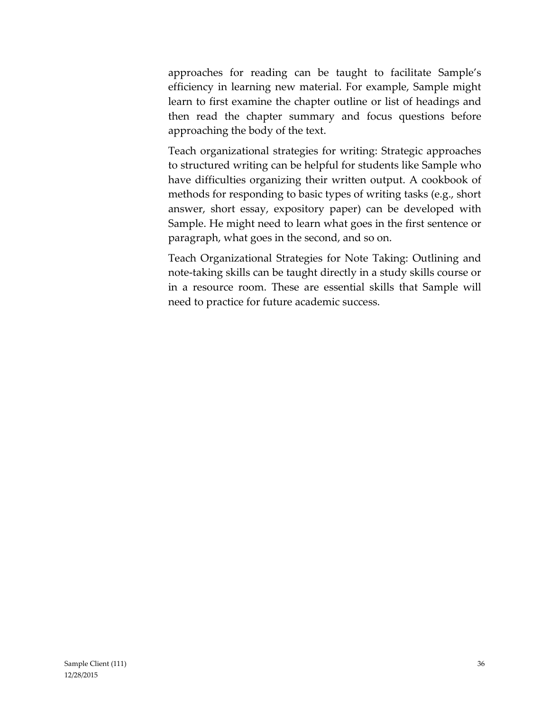approaches for reading can be taught to facilitate Sample's efficiency in learning new material. For example, Sample might learn to first examine the chapter outline or list of headings and then read the chapter summary and focus questions before approaching the body of the text.

Teach organizational strategies for writing: Strategic approaches to structured writing can be helpful for students like Sample who have difficulties organizing their written output. A cookbook of methods for responding to basic types of writing tasks (e.g., short answer, short essay, expository paper) can be developed with Sample. He might need to learn what goes in the first sentence or paragraph, what goes in the second, and so on.

Teach Organizational Strategies for Note Taking: Outlining and note-taking skills can be taught directly in a study skills course or in a resource room. These are essential skills that Sample will need to practice for future academic success.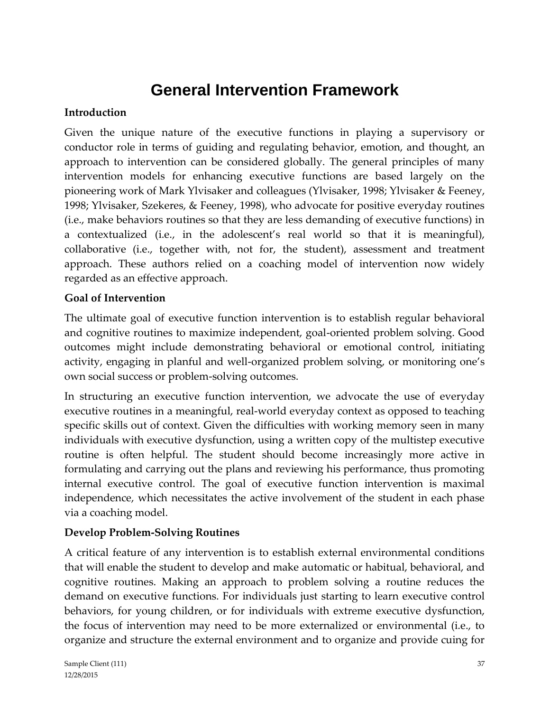## **General Intervention Framework**

#### **Introduction**

Given the unique nature of the executive functions in playing a supervisory or conductor role in terms of guiding and regulating behavior, emotion, and thought, an approach to intervention can be considered globally. The general principles of many intervention models for enhancing executive functions are based largely on the pioneering work of Mark Ylvisaker and colleagues (Ylvisaker, 1998; Ylvisaker & Feeney, 1998; Ylvisaker, Szekeres, & Feeney, 1998), who advocate for positive everyday routines (i.e., make behaviors routines so that they are less demanding of executive functions) in a contextualized (i.e., in the adolescent's real world so that it is meaningful), collaborative (i.e., together with, not for, the student), assessment and treatment approach. These authors relied on a coaching model of intervention now widely regarded as an effective approach.

#### **Goal of Intervention**

The ultimate goal of executive function intervention is to establish regular behavioral and cognitive routines to maximize independent, goal-oriented problem solving. Good outcomes might include demonstrating behavioral or emotional control, initiating activity, engaging in planful and well-organized problem solving, or monitoring one's own social success or problem-solving outcomes.

In structuring an executive function intervention, we advocate the use of everyday executive routines in a meaningful, real-world everyday context as opposed to teaching specific skills out of context. Given the difficulties with working memory seen in many individuals with executive dysfunction, using a written copy of the multistep executive routine is often helpful. The student should become increasingly more active in formulating and carrying out the plans and reviewing his performance, thus promoting internal executive control. The goal of executive function intervention is maximal independence, which necessitates the active involvement of the student in each phase via a coaching model.

#### **Develop Problem-Solving Routines**

A critical feature of any intervention is to establish external environmental conditions that will enable the student to develop and make automatic or habitual, behavioral, and cognitive routines. Making an approach to problem solving a routine reduces the demand on executive functions. For individuals just starting to learn executive control behaviors, for young children, or for individuals with extreme executive dysfunction, the focus of intervention may need to be more externalized or environmental (i.e., to organize and structure the external environment and to organize and provide cuing for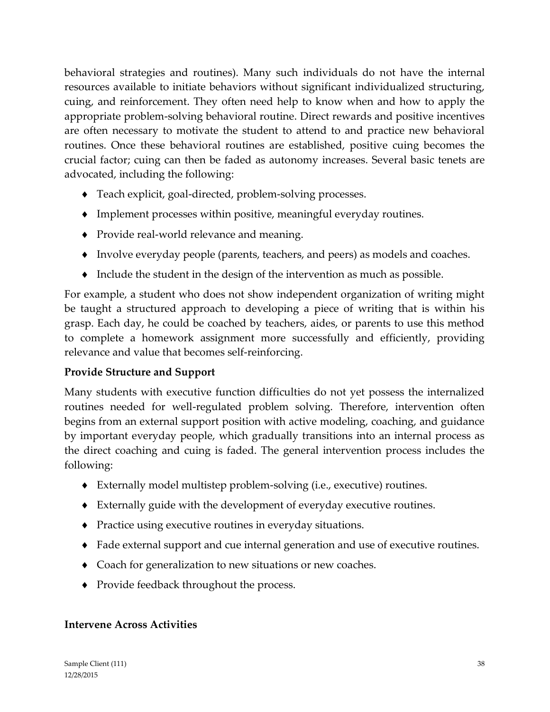behavioral strategies and routines). Many such individuals do not have the internal resources available to initiate behaviors without significant individualized structuring, cuing, and reinforcement. They often need help to know when and how to apply the appropriate problem-solving behavioral routine. Direct rewards and positive incentives are often necessary to motivate the student to attend to and practice new behavioral routines. Once these behavioral routines are established, positive cuing becomes the crucial factor; cuing can then be faded as autonomy increases. Several basic tenets are advocated, including the following:

- Teach explicit, goal-directed, problem-solving processes.
- Implement processes within positive, meaningful everyday routines.
- Provide real-world relevance and meaning.
- Involve everyday people (parents, teachers, and peers) as models and coaches.
- $\bullet$  Include the student in the design of the intervention as much as possible.

For example, a student who does not show independent organization of writing might be taught a structured approach to developing a piece of writing that is within his grasp. Each day, he could be coached by teachers, aides, or parents to use this method to complete a homework assignment more successfully and efficiently, providing relevance and value that becomes self-reinforcing.

#### **Provide Structure and Support**

Many students with executive function difficulties do not yet possess the internalized routines needed for well-regulated problem solving. Therefore, intervention often begins from an external support position with active modeling, coaching, and guidance by important everyday people, which gradually transitions into an internal process as the direct coaching and cuing is faded. The general intervention process includes the following:

- Externally model multistep problem-solving (i.e., executive) routines.
- Externally guide with the development of everyday executive routines.
- Practice using executive routines in everyday situations.
- Fade external support and cue internal generation and use of executive routines.
- Coach for generalization to new situations or new coaches.
- Provide feedback throughout the process.

#### **Intervene Across Activities**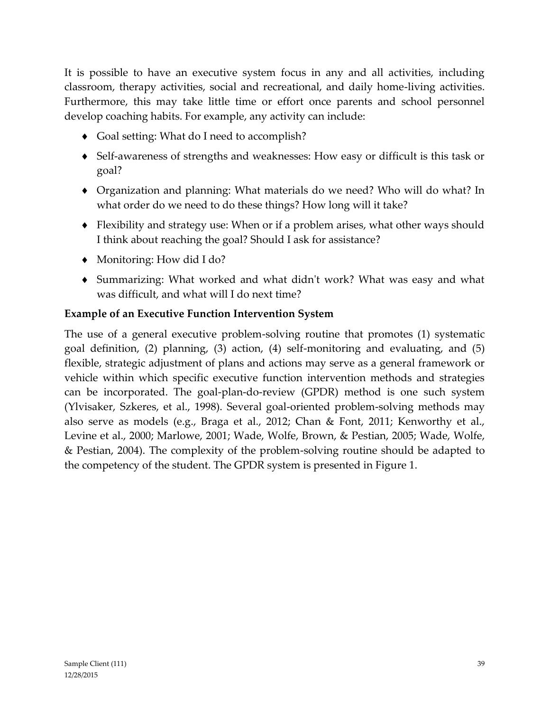It is possible to have an executive system focus in any and all activities, including classroom, therapy activities, social and recreational, and daily home-living activities. Furthermore, this may take little time or effort once parents and school personnel develop coaching habits. For example, any activity can include:

- ◆ Goal setting: What do I need to accomplish?
- Self-awareness of strengths and weaknesses: How easy or difficult is this task or goal?
- Organization and planning: What materials do we need? Who will do what? In what order do we need to do these things? How long will it take?
- Flexibility and strategy use: When or if a problem arises, what other ways should I think about reaching the goal? Should I ask for assistance?
- Monitoring: How did I do?
- Summarizing: What worked and what didn't work? What was easy and what was difficult, and what will I do next time?

#### **Example of an Executive Function Intervention System**

The use of a general executive problem-solving routine that promotes (1) systematic goal definition, (2) planning, (3) action, (4) self-monitoring and evaluating, and (5) flexible, strategic adjustment of plans and actions may serve as a general framework or vehicle within which specific executive function intervention methods and strategies can be incorporated. The goal-plan-do-review (GPDR) method is one such system (Ylvisaker, Szkeres, et al., 1998). Several goal-oriented problem-solving methods may also serve as models (e.g., Braga et al., 2012; Chan & Font, 2011; Kenworthy et al., Levine et al., 2000; Marlowe, 2001; Wade, Wolfe, Brown, & Pestian, 2005; Wade, Wolfe, & Pestian, 2004). The complexity of the problem-solving routine should be adapted to the competency of the student. The GPDR system is presented in Figure 1.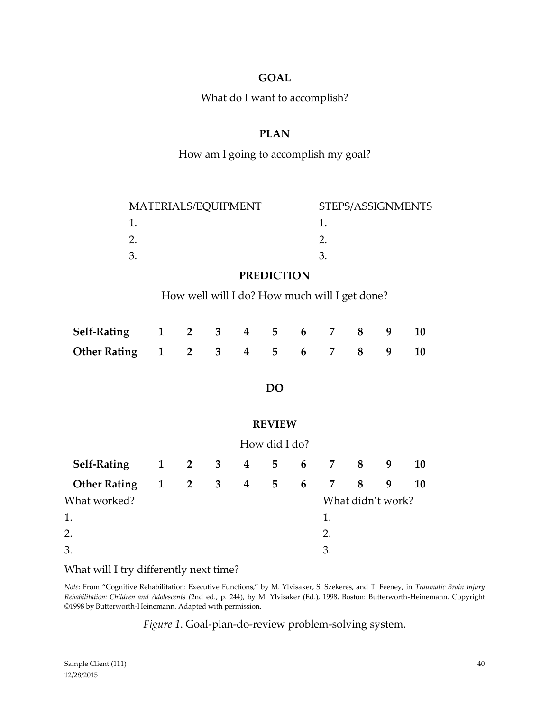#### **GOAL**

What do I want to accomplish?

#### **PLAN**

#### How am I going to accomplish my goal?

| MATERIALS/EQUIPMENT | STEPS/ASSIGNMENTS |
|---------------------|-------------------|
|                     |                   |
|                     |                   |
|                     |                   |

#### **PREDICTION**

How well will I do? How much will I get done?

| Self-Rating 1 2 3 4 5 6 7 8 9 10  |  |  |  |  |  |
|-----------------------------------|--|--|--|--|--|
| Other Rating 1 2 3 4 5 6 7 8 9 10 |  |  |  |  |  |

#### **DO**

#### **REVIEW**

|                             | How did I do? |                     |  |  |  |  |         |                   |   |           |
|-----------------------------|---------------|---------------------|--|--|--|--|---------|-------------------|---|-----------|
| Self-Rating 1 2 3 4 5 6 7 8 |               |                     |  |  |  |  |         |                   | 9 | <b>10</b> |
| <b>Other Rating</b>         |               | $1 \quad 2 \quad 3$ |  |  |  |  | 4 5 6 7 | 8                 | 9 | 10        |
| What worked?                |               |                     |  |  |  |  |         | What didn't work? |   |           |
| 1.                          |               |                     |  |  |  |  | 1.      |                   |   |           |
| 2.                          |               |                     |  |  |  |  | 2.      |                   |   |           |
| 3.                          |               |                     |  |  |  |  | 3.      |                   |   |           |

#### What will I try differently next time?

*Note*: From "Cognitive Rehabilitation: Executive Functions," by M. Ylvisaker, S. Szekeres, and T. Feeney, in *Traumatic Brain Injury Rehabilitation: Children and Adolescents* (2nd ed., p. 244), by M. Ylvisaker (Ed.), 1998, Boston: Butterworth-Heinemann. Copyright ©1998 by Butterworth-Heinemann. Adapted with permission.

*Figure 1*. Goal-plan-do-review problem-solving system.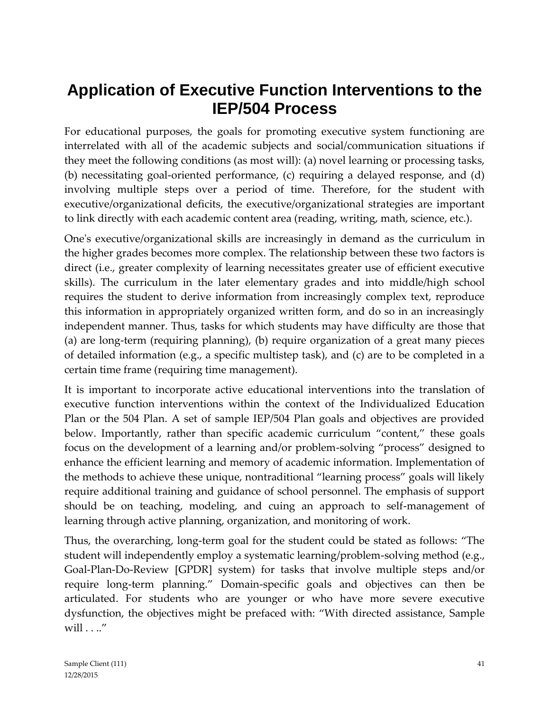## **Application of Executive Function Interventions to the IEP/504 Process**

For educational purposes, the goals for promoting executive system functioning are interrelated with all of the academic subjects and social/communication situations if they meet the following conditions (as most will): (a) novel learning or processing tasks, (b) necessitating goal-oriented performance, (c) requiring a delayed response, and (d) involving multiple steps over a period of time. Therefore, for the student with executive/organizational deficits, the executive/organizational strategies are important to link directly with each academic content area (reading, writing, math, science, etc.).

One's executive/organizational skills are increasingly in demand as the curriculum in the higher grades becomes more complex. The relationship between these two factors is direct (i.e., greater complexity of learning necessitates greater use of efficient executive skills). The curriculum in the later elementary grades and into middle/high school requires the student to derive information from increasingly complex text, reproduce this information in appropriately organized written form, and do so in an increasingly independent manner. Thus, tasks for which students may have difficulty are those that (a) are long-term (requiring planning), (b) require organization of a great many pieces of detailed information (e.g., a specific multistep task), and (c) are to be completed in a certain time frame (requiring time management).

It is important to incorporate active educational interventions into the translation of executive function interventions within the context of the Individualized Education Plan or the 504 Plan. A set of sample IEP/504 Plan goals and objectives are provided below. Importantly, rather than specific academic curriculum "content," these goals focus on the development of a learning and/or problem-solving "process" designed to enhance the efficient learning and memory of academic information. Implementation of the methods to achieve these unique, nontraditional "learning process" goals will likely require additional training and guidance of school personnel. The emphasis of support should be on teaching, modeling, and cuing an approach to self-management of learning through active planning, organization, and monitoring of work.

Thus, the overarching, long-term goal for the student could be stated as follows: "The student will independently employ a systematic learning/problem-solving method (e.g., Goal-Plan-Do-Review [GPDR] system) for tasks that involve multiple steps and/or require long-term planning." Domain-specific goals and objectives can then be articulated. For students who are younger or who have more severe executive dysfunction, the objectives might be prefaced with: "With directed assistance, Sample will . . .."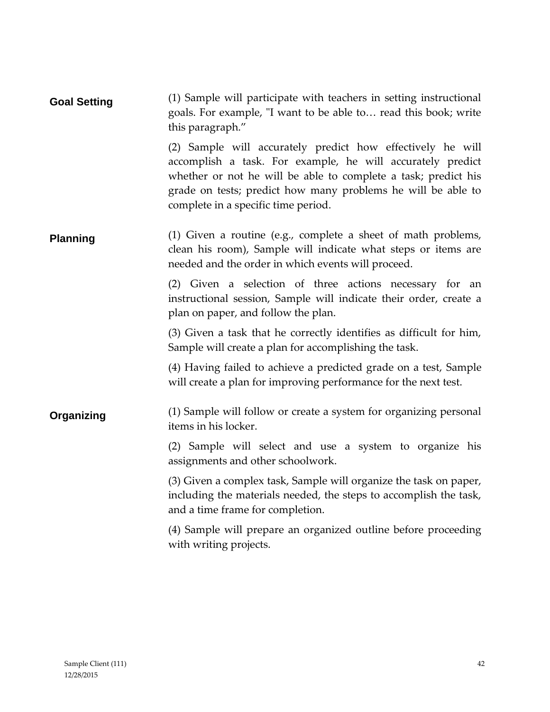| <b>Goal Setting</b> | (1) Sample will participate with teachers in setting instructional<br>goals. For example, "I want to be able to read this book; write<br>this paragraph."                                                                                                                                         |
|---------------------|---------------------------------------------------------------------------------------------------------------------------------------------------------------------------------------------------------------------------------------------------------------------------------------------------|
|                     | (2) Sample will accurately predict how effectively he will<br>accomplish a task. For example, he will accurately predict<br>whether or not he will be able to complete a task; predict his<br>grade on tests; predict how many problems he will be able to<br>complete in a specific time period. |
| <b>Planning</b>     | (1) Given a routine (e.g., complete a sheet of math problems,<br>clean his room), Sample will indicate what steps or items are<br>needed and the order in which events will proceed.                                                                                                              |
|                     | (2) Given a selection of three actions necessary for an<br>instructional session, Sample will indicate their order, create a<br>plan on paper, and follow the plan.                                                                                                                               |
|                     | (3) Given a task that he correctly identifies as difficult for him,<br>Sample will create a plan for accomplishing the task.                                                                                                                                                                      |
|                     | (4) Having failed to achieve a predicted grade on a test, Sample<br>will create a plan for improving performance for the next test.                                                                                                                                                               |
| Organizing          | (1) Sample will follow or create a system for organizing personal<br>items in his locker.                                                                                                                                                                                                         |
|                     | (2) Sample will select and use a system to organize his<br>assignments and other schoolwork.                                                                                                                                                                                                      |
|                     | (3) Given a complex task, Sample will organize the task on paper,<br>including the materials needed, the steps to accomplish the task,<br>and a time frame for completion.                                                                                                                        |
|                     | (4) Sample will prepare an organized outline before proceeding<br>with writing projects.                                                                                                                                                                                                          |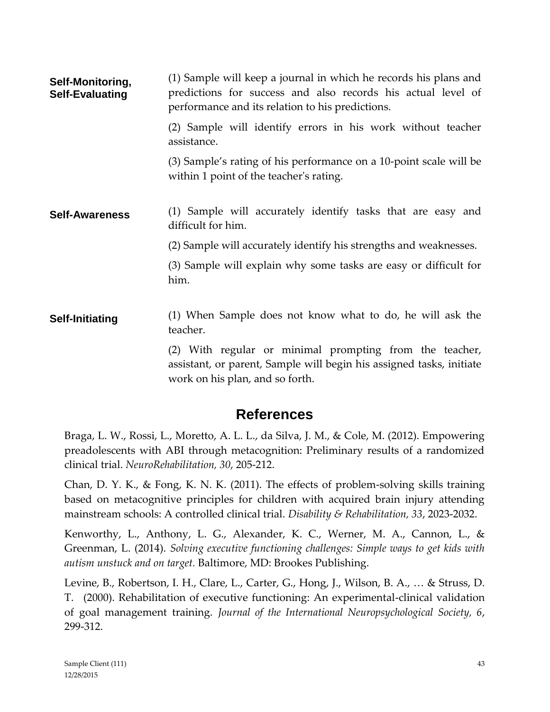| Self-Monitoring,<br><b>Self-Evaluating</b> | (1) Sample will keep a journal in which he records his plans and<br>predictions for success and also records his actual level of<br>performance and its relation to his predictions. |  |  |  |  |  |
|--------------------------------------------|--------------------------------------------------------------------------------------------------------------------------------------------------------------------------------------|--|--|--|--|--|
|                                            | (2) Sample will identify errors in his work without teacher<br>assistance.                                                                                                           |  |  |  |  |  |
|                                            | (3) Sample's rating of his performance on a 10-point scale will be<br>within 1 point of the teacher's rating.                                                                        |  |  |  |  |  |
| <b>Self-Awareness</b>                      | (1) Sample will accurately identify tasks that are easy and<br>difficult for him.                                                                                                    |  |  |  |  |  |
|                                            | (2) Sample will accurately identify his strengths and weaknesses.                                                                                                                    |  |  |  |  |  |
|                                            | (3) Sample will explain why some tasks are easy or difficult for<br>him.                                                                                                             |  |  |  |  |  |
| <b>Self-Initiating</b>                     | (1) When Sample does not know what to do, he will ask the<br>teacher.                                                                                                                |  |  |  |  |  |
|                                            | (2) With regular or minimal prompting from the teacher,<br>accictant or paront Sample will begin his accioned tasks initiate                                                         |  |  |  |  |  |

assistant, or parent, Sample will begin his assigned tasks, initiate work on his plan, and so forth.

## **References**

Braga, L. W., Rossi, L., Moretto, A. L. L., da Silva, J. M., & Cole, M. (2012). Empowering preadolescents with ABI through metacognition: Preliminary results of a randomized clinical trial. *NeuroRehabilitation, 30*, 205-212.

Chan, D. Y. K., & Fong, K. N. K. (2011). The effects of problem-solving skills training based on metacognitive principles for children with acquired brain injury attending mainstream schools: A controlled clinical trial. *Disability & Rehabilitation, 33*, 2023-2032.

Kenworthy, L., Anthony, L. G., Alexander, K. C., Werner, M. A., Cannon, L., & Greenman, L. (2014). *Solving executive functioning challenges: Simple ways to get kids with autism unstuck and on target.* Baltimore, MD: Brookes Publishing.

Levine, B., Robertson, I. H., Clare, L., Carter, G., Hong, J., Wilson, B. A., … & Struss, D. T. (2000). Rehabilitation of executive functioning: An experimental-clinical validation of goal management training. *Journal of the International Neuropsychological Society, 6*, 299-312.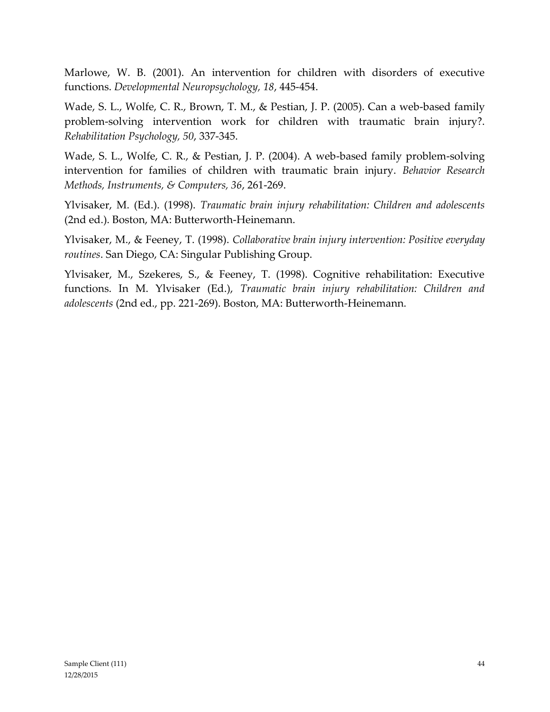Marlowe, W. B. (2001). An intervention for children with disorders of executive functions. *Developmental Neuropsychology, 18*, 445-454.

Wade, S. L., Wolfe, C. R., Brown, T. M., & Pestian, J. P. (2005). Can a web-based family problem-solving intervention work for children with traumatic brain injury?. *Rehabilitation Psychology, 50*, 337-345.

Wade, S. L., Wolfe, C. R., & Pestian, J. P. (2004). A web-based family problem-solving intervention for families of children with traumatic brain injury. *Behavior Research Methods, Instruments, & Computers, 36*, 261-269.

Ylvisaker, M. (Ed.). (1998). *Traumatic brain injury rehabilitation: Children and adolescents* (2nd ed.). Boston, MA: Butterworth-Heinemann.

Ylvisaker, M., & Feeney, T. (1998). *Collaborative brain injury intervention: Positive everyday routines*. San Diego, CA: Singular Publishing Group.

Ylvisaker, M., Szekeres, S., & Feeney, T. (1998). Cognitive rehabilitation: Executive functions. In M. Ylvisaker (Ed.), *Traumatic brain injury rehabilitation: Children and adolescents* (2nd ed., pp. 221-269). Boston, MA: Butterworth-Heinemann.